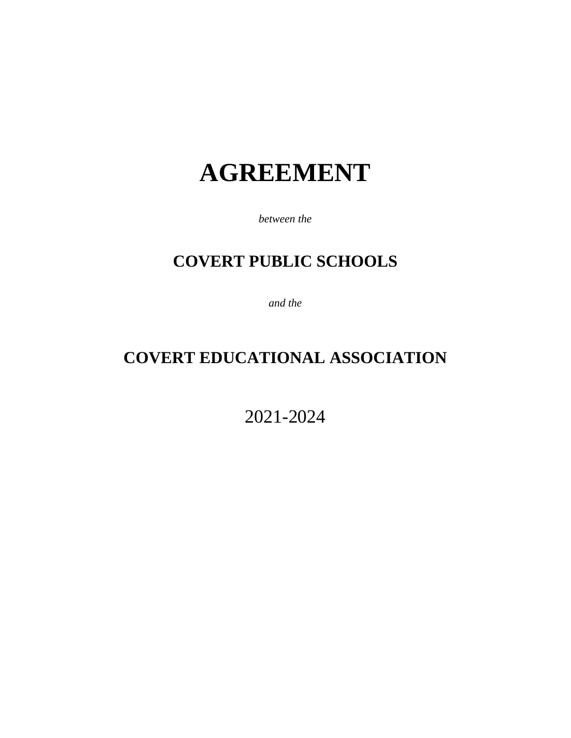# **AGREEMENT**

*between the*

# **COVERT PUBLIC SCHOOLS**

*and the*

# **COVERT EDUCATIONAL ASSOCIATION**

2021-2024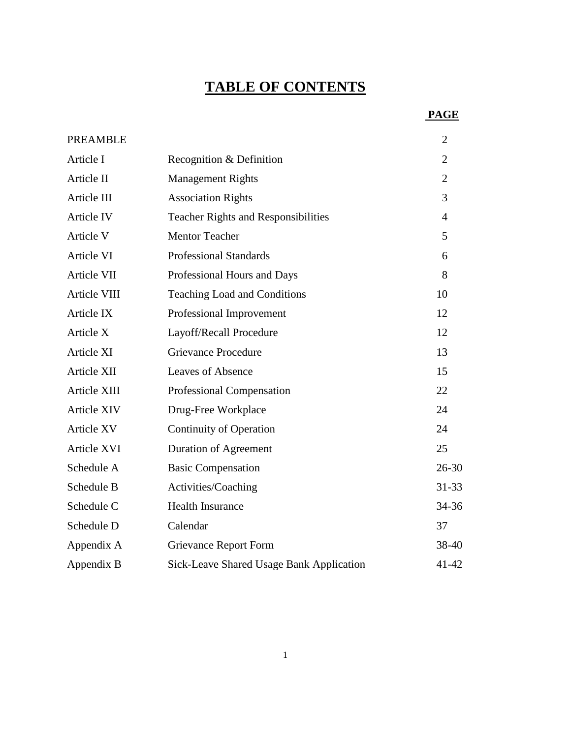# **TABLE OF CONTENTS**

# **PAGE**

| PREAMBLE          |                                            | $\overline{2}$ |
|-------------------|--------------------------------------------|----------------|
| Article I         | Recognition & Definition                   | $\overline{2}$ |
| Article II        | <b>Management Rights</b>                   | $\overline{2}$ |
| Article III       | <b>Association Rights</b>                  | 3              |
| <b>Article IV</b> | <b>Teacher Rights and Responsibilities</b> | $\overline{4}$ |
| Article V         | <b>Mentor Teacher</b>                      | 5              |
| Article VI        | <b>Professional Standards</b>              | 6              |
| Article VII       | Professional Hours and Days                | 8              |
| Article VIII      | Teaching Load and Conditions               | 10             |
| Article IX        | Professional Improvement                   | 12             |
| Article X         | Layoff/Recall Procedure                    | 12             |
| Article XI        | <b>Grievance Procedure</b>                 | 13             |
| Article XII       | Leaves of Absence                          | 15             |
| Article XIII      | Professional Compensation                  | 22             |
| Article XIV       | Drug-Free Workplace                        | 24             |
| Article XV        | <b>Continuity of Operation</b>             | 24             |
| Article XVI       | Duration of Agreement                      | 25             |
| Schedule A        | <b>Basic Compensation</b>                  | $26 - 30$      |
| Schedule B        | Activities/Coaching                        | 31-33          |
| Schedule C        | <b>Health Insurance</b>                    | 34-36          |
| Schedule D        | Calendar                                   | 37             |
| Appendix A        | <b>Grievance Report Form</b>               | 38-40          |
| Appendix B        | Sick-Leave Shared Usage Bank Application   | 41-42          |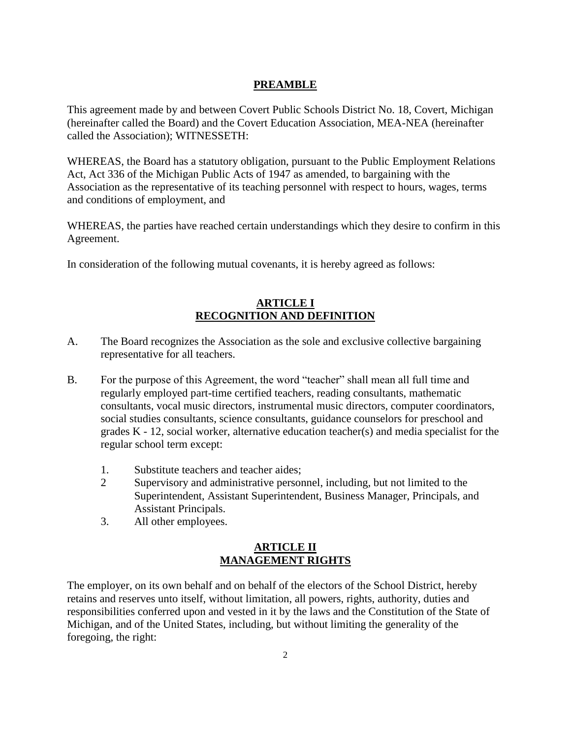# **PREAMBLE**

This agreement made by and between Covert Public Schools District No. 18, Covert, Michigan (hereinafter called the Board) and the Covert Education Association, MEA-NEA (hereinafter called the Association); WITNESSETH:

WHEREAS, the Board has a statutory obligation, pursuant to the Public Employment Relations Act, Act 336 of the Michigan Public Acts of 1947 as amended, to bargaining with the Association as the representative of its teaching personnel with respect to hours, wages, terms and conditions of employment, and

WHEREAS, the parties have reached certain understandings which they desire to confirm in this Agreement.

In consideration of the following mutual covenants, it is hereby agreed as follows:

#### **ARTICLE I RECOGNITION AND DEFINITION**

- A. The Board recognizes the Association as the sole and exclusive collective bargaining representative for all teachers.
- B. For the purpose of this Agreement, the word "teacher" shall mean all full time and regularly employed part-time certified teachers, reading consultants, mathematic consultants, vocal music directors, instrumental music directors, computer coordinators, social studies consultants, science consultants, guidance counselors for preschool and grades K - 12, social worker, alternative education teacher(s) and media specialist for the regular school term except:
	- 1. Substitute teachers and teacher aides;
	- 2 Supervisory and administrative personnel, including, but not limited to the Superintendent, Assistant Superintendent, Business Manager, Principals, and Assistant Principals.
	- 3. All other employees.

### **ARTICLE II MANAGEMENT RIGHTS**

The employer, on its own behalf and on behalf of the electors of the School District, hereby retains and reserves unto itself, without limitation, all powers, rights, authority, duties and responsibilities conferred upon and vested in it by the laws and the Constitution of the State of Michigan, and of the United States, including, but without limiting the generality of the foregoing, the right: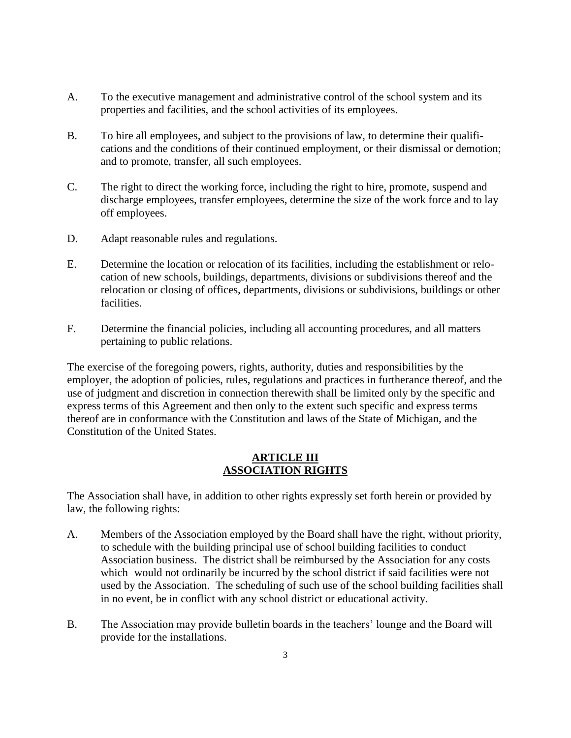- A. To the executive management and administrative control of the school system and its properties and facilities, and the school activities of its employees.
- B. To hire all employees, and subject to the provisions of law, to determine their qualifications and the conditions of their continued employment, or their dismissal or demotion; and to promote, transfer, all such employees.
- C. The right to direct the working force, including the right to hire, promote, suspend and discharge employees, transfer employees, determine the size of the work force and to lay off employees.
- D. Adapt reasonable rules and regulations.
- E. Determine the location or relocation of its facilities, including the establishment or relocation of new schools, buildings, departments, divisions or subdivisions thereof and the relocation or closing of offices, departments, divisions or subdivisions, buildings or other facilities.
- F. Determine the financial policies, including all accounting procedures, and all matters pertaining to public relations.

The exercise of the foregoing powers, rights, authority, duties and responsibilities by the employer, the adoption of policies, rules, regulations and practices in furtherance thereof, and the use of judgment and discretion in connection therewith shall be limited only by the specific and express terms of this Agreement and then only to the extent such specific and express terms thereof are in conformance with the Constitution and laws of the State of Michigan, and the Constitution of the United States.

#### **ARTICLE III ASSOCIATION RIGHTS**

The Association shall have, in addition to other rights expressly set forth herein or provided by law, the following rights:

- A. Members of the Association employed by the Board shall have the right, without priority, to schedule with the building principal use of school building facilities to conduct Association business. The district shall be reimbursed by the Association for any costs which would not ordinarily be incurred by the school district if said facilities were not used by the Association. The scheduling of such use of the school building facilities shall in no event, be in conflict with any school district or educational activity.
- B. The Association may provide bulletin boards in the teachers' lounge and the Board will provide for the installations.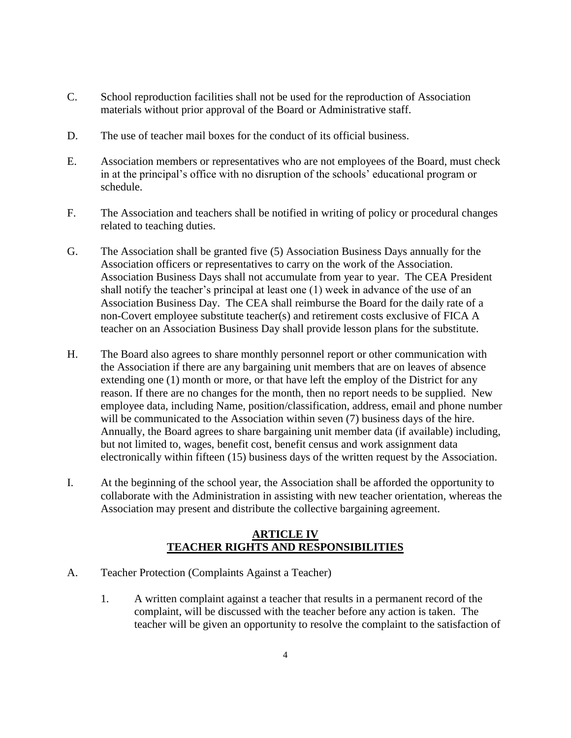- C. School reproduction facilities shall not be used for the reproduction of Association materials without prior approval of the Board or Administrative staff.
- D. The use of teacher mail boxes for the conduct of its official business.
- E. Association members or representatives who are not employees of the Board, must check in at the principal's office with no disruption of the schools' educational program or schedule.
- F. The Association and teachers shall be notified in writing of policy or procedural changes related to teaching duties.
- G. The Association shall be granted five (5) Association Business Days annually for the Association officers or representatives to carry on the work of the Association. Association Business Days shall not accumulate from year to year. The CEA President shall notify the teacher's principal at least one (1) week in advance of the use of an Association Business Day. The CEA shall reimburse the Board for the daily rate of a non-Covert employee substitute teacher(s) and retirement costs exclusive of FICA A teacher on an Association Business Day shall provide lesson plans for the substitute.
- H. The Board also agrees to share monthly personnel report or other communication with the Association if there are any bargaining unit members that are on leaves of absence extending one (1) month or more, or that have left the employ of the District for any reason. If there are no changes for the month, then no report needs to be supplied. New employee data, including Name, position/classification, address, email and phone number will be communicated to the Association within seven (7) business days of the hire. Annually, the Board agrees to share bargaining unit member data (if available) including, but not limited to, wages, benefit cost, benefit census and work assignment data electronically within fifteen (15) business days of the written request by the Association.
- I. At the beginning of the school year, the Association shall be afforded the opportunity to collaborate with the Administration in assisting with new teacher orientation, whereas the Association may present and distribute the collective bargaining agreement.

#### **ARTICLE IV TEACHER RIGHTS AND RESPONSIBILITIES**

- A. Teacher Protection (Complaints Against a Teacher)
	- 1. A written complaint against a teacher that results in a permanent record of the complaint, will be discussed with the teacher before any action is taken. The teacher will be given an opportunity to resolve the complaint to the satisfaction of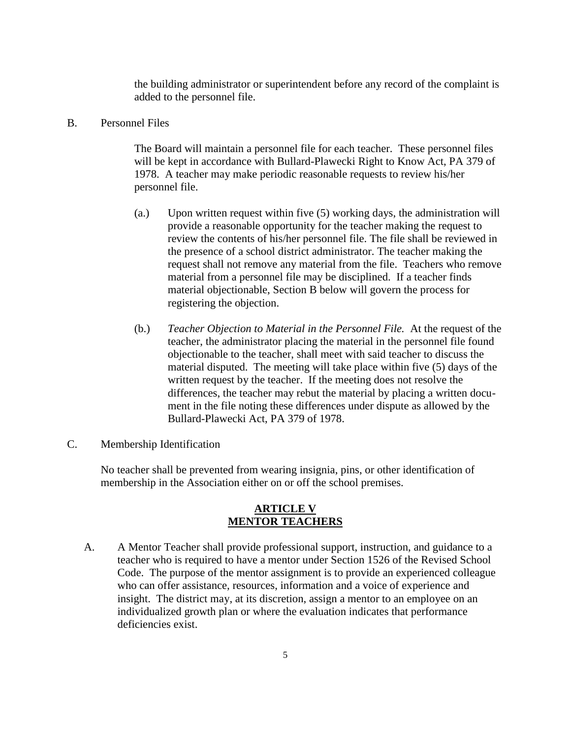the building administrator or superintendent before any record of the complaint is added to the personnel file.

#### B. Personnel Files

The Board will maintain a personnel file for each teacher. These personnel files will be kept in accordance with Bullard-Plawecki Right to Know Act, PA 379 of 1978. A teacher may make periodic reasonable requests to review his/her personnel file.

- (a.) Upon written request within five (5) working days, the administration will provide a reasonable opportunity for the teacher making the request to review the contents of his/her personnel file. The file shall be reviewed in the presence of a school district administrator. The teacher making the request shall not remove any material from the file. Teachers who remove material from a personnel file may be disciplined. If a teacher finds material objectionable, Section B below will govern the process for registering the objection.
- (b.) *Teacher Objection to Material in the Personnel File.* At the request of the teacher, the administrator placing the material in the personnel file found objectionable to the teacher, shall meet with said teacher to discuss the material disputed. The meeting will take place within five (5) days of the written request by the teacher. If the meeting does not resolve the differences, the teacher may rebut the material by placing a written document in the file noting these differences under dispute as allowed by the Bullard-Plawecki Act, PA 379 of 1978.
- C. Membership Identification

No teacher shall be prevented from wearing insignia, pins, or other identification of membership in the Association either on or off the school premises.

#### **ARTICLE V MENTOR TEACHERS**

A. A Mentor Teacher shall provide professional support, instruction, and guidance to a teacher who is required to have a mentor under Section 1526 of the Revised School Code. The purpose of the mentor assignment is to provide an experienced colleague who can offer assistance, resources, information and a voice of experience and insight. The district may, at its discretion, assign a mentor to an employee on an individualized growth plan or where the evaluation indicates that performance deficiencies exist.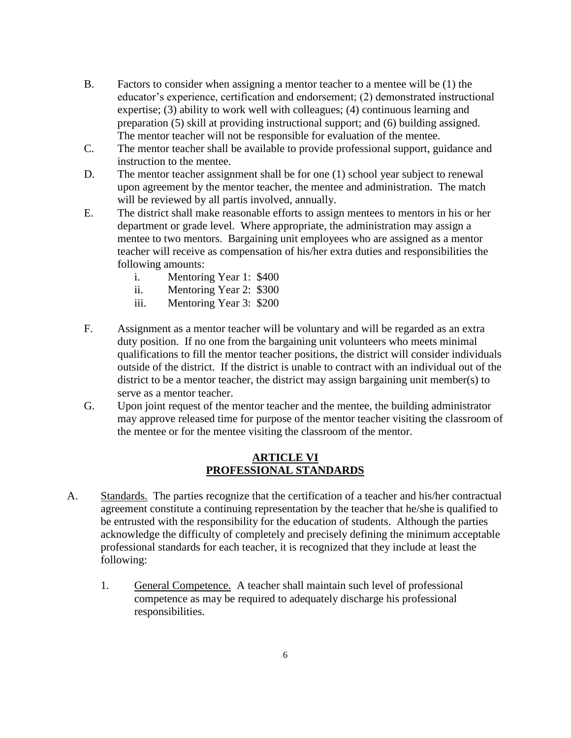- B. Factors to consider when assigning a mentor teacher to a mentee will be (1) the educator's experience, certification and endorsement; (2) demonstrated instructional expertise; (3) ability to work well with colleagues; (4) continuous learning and preparation (5) skill at providing instructional support; and (6) building assigned. The mentor teacher will not be responsible for evaluation of the mentee.
- C. The mentor teacher shall be available to provide professional support, guidance and instruction to the mentee.
- D. The mentor teacher assignment shall be for one (1) school year subject to renewal upon agreement by the mentor teacher, the mentee and administration. The match will be reviewed by all partis involved, annually.
- E. The district shall make reasonable efforts to assign mentees to mentors in his or her department or grade level. Where appropriate, the administration may assign a mentee to two mentors. Bargaining unit employees who are assigned as a mentor teacher will receive as compensation of his/her extra duties and responsibilities the following amounts:
	- i. Mentoring Year 1: \$400
	- ii. Mentoring Year 2: \$300
	- iii. Mentoring Year 3: \$200
- F. Assignment as a mentor teacher will be voluntary and will be regarded as an extra duty position. If no one from the bargaining unit volunteers who meets minimal qualifications to fill the mentor teacher positions, the district will consider individuals outside of the district. If the district is unable to contract with an individual out of the district to be a mentor teacher, the district may assign bargaining unit member(s) to serve as a mentor teacher.
- G. Upon joint request of the mentor teacher and the mentee, the building administrator may approve released time for purpose of the mentor teacher visiting the classroom of the mentee or for the mentee visiting the classroom of the mentor.

#### **ARTICLE VI PROFESSIONAL STANDARDS**

- A. Standards. The parties recognize that the certification of a teacher and his/her contractual agreement constitute a continuing representation by the teacher that he/she is qualified to be entrusted with the responsibility for the education of students. Although the parties acknowledge the difficulty of completely and precisely defining the minimum acceptable professional standards for each teacher, it is recognized that they include at least the following:
	- 1. General Competence. A teacher shall maintain such level of professional competence as may be required to adequately discharge his professional responsibilities.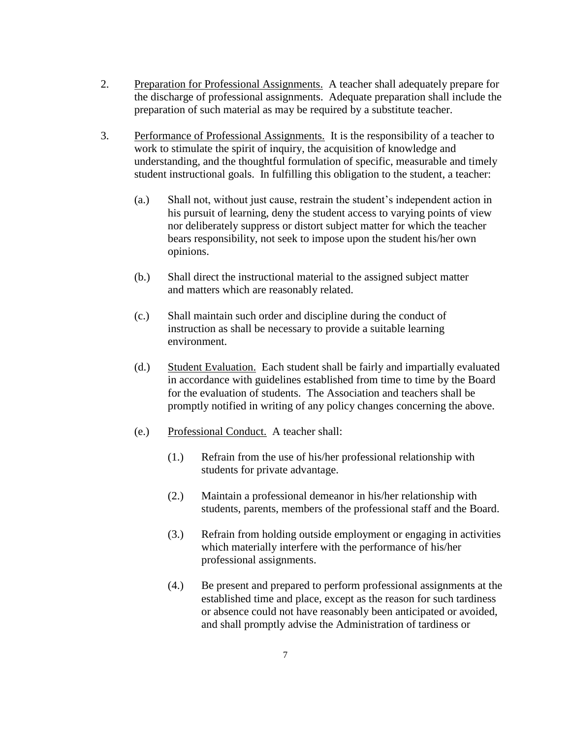- 2. Preparation for Professional Assignments. A teacher shall adequately prepare for the discharge of professional assignments. Adequate preparation shall include the preparation of such material as may be required by a substitute teacher.
- 3. Performance of Professional Assignments. It is the responsibility of a teacher to work to stimulate the spirit of inquiry, the acquisition of knowledge and understanding, and the thoughtful formulation of specific, measurable and timely student instructional goals. In fulfilling this obligation to the student, a teacher:
	- (a.) Shall not, without just cause, restrain the student's independent action in his pursuit of learning, deny the student access to varying points of view nor deliberately suppress or distort subject matter for which the teacher bears responsibility, not seek to impose upon the student his/her own opinions.
	- (b.) Shall direct the instructional material to the assigned subject matter and matters which are reasonably related.
	- (c.) Shall maintain such order and discipline during the conduct of instruction as shall be necessary to provide a suitable learning environment.
	- (d.) Student Evaluation. Each student shall be fairly and impartially evaluated in accordance with guidelines established from time to time by the Board for the evaluation of students. The Association and teachers shall be promptly notified in writing of any policy changes concerning the above.
	- (e.) Professional Conduct. A teacher shall:
		- (1.) Refrain from the use of his/her professional relationship with students for private advantage.
		- (2.) Maintain a professional demeanor in his/her relationship with students, parents, members of the professional staff and the Board.
		- (3.) Refrain from holding outside employment or engaging in activities which materially interfere with the performance of his/her professional assignments.
		- (4.) Be present and prepared to perform professional assignments at the established time and place, except as the reason for such tardiness or absence could not have reasonably been anticipated or avoided, and shall promptly advise the Administration of tardiness or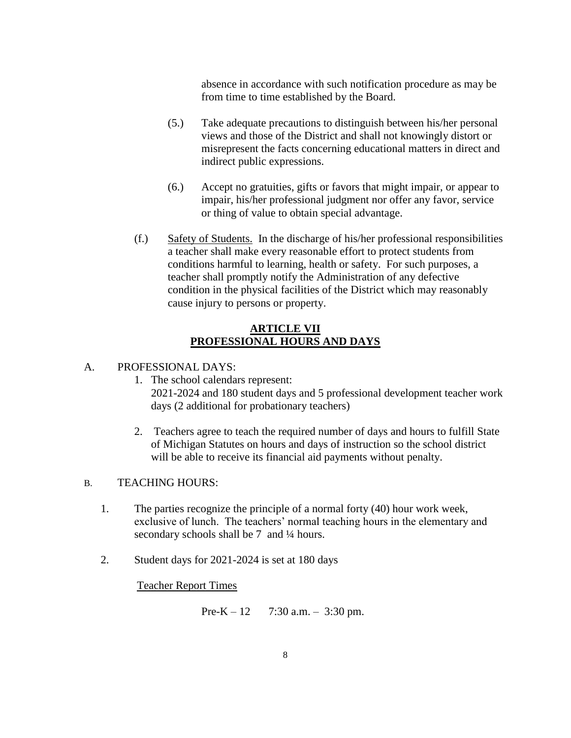absence in accordance with such notification procedure as may be from time to time established by the Board.

- (5.) Take adequate precautions to distinguish between his/her personal views and those of the District and shall not knowingly distort or misrepresent the facts concerning educational matters in direct and indirect public expressions.
- (6.) Accept no gratuities, gifts or favors that might impair, or appear to impair, his/her professional judgment nor offer any favor, service or thing of value to obtain special advantage.
- (f.) Safety of Students. In the discharge of his/her professional responsibilities a teacher shall make every reasonable effort to protect students from conditions harmful to learning, health or safety. For such purposes, a teacher shall promptly notify the Administration of any defective condition in the physical facilities of the District which may reasonably cause injury to persons or property.

#### **ARTICLE VII PROFESSIONAL HOURS AND DAYS**

#### A. PROFESSIONAL DAYS:

- 1. The school calendars represent: 2021-2024 and 180 student days and 5 professional development teacher work days (2 additional for probationary teachers)
- 2. Teachers agree to teach the required number of days and hours to fulfill State of Michigan Statutes on hours and days of instruction so the school district will be able to receive its financial aid payments without penalty.

#### B. TEACHING HOURS:

- 1. The parties recognize the principle of a normal forty (40) hour work week, exclusive of lunch. The teachers' normal teaching hours in the elementary and secondary schools shall be 7 and 1/4 hours.
- 2. Student days for 2021-2024 is set at 180 days

Teacher Report Times

Pre-K – 12 7:30 a.m. – 3:30 pm.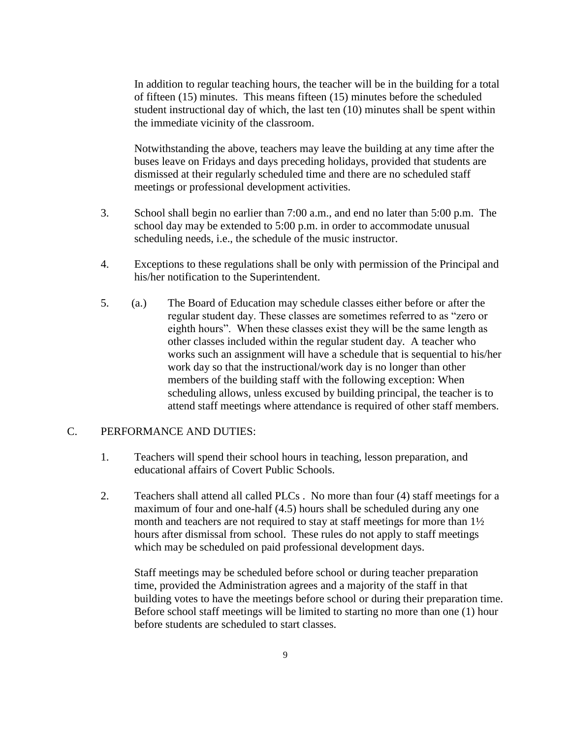In addition to regular teaching hours, the teacher will be in the building for a total of fifteen (15) minutes. This means fifteen (15) minutes before the scheduled student instructional day of which, the last ten (10) minutes shall be spent within the immediate vicinity of the classroom.

Notwithstanding the above, teachers may leave the building at any time after the buses leave on Fridays and days preceding holidays, provided that students are dismissed at their regularly scheduled time and there are no scheduled staff meetings or professional development activities.

- 3. School shall begin no earlier than 7:00 a.m., and end no later than 5:00 p.m. The school day may be extended to 5:00 p.m. in order to accommodate unusual scheduling needs, i.e., the schedule of the music instructor.
- 4. Exceptions to these regulations shall be only with permission of the Principal and his/her notification to the Superintendent.
- 5. (a.) The Board of Education may schedule classes either before or after the regular student day. These classes are sometimes referred to as "zero or eighth hours". When these classes exist they will be the same length as other classes included within the regular student day. A teacher who works such an assignment will have a schedule that is sequential to his/her work day so that the instructional/work day is no longer than other members of the building staff with the following exception: When scheduling allows, unless excused by building principal, the teacher is to attend staff meetings where attendance is required of other staff members.

#### C. PERFORMANCE AND DUTIES:

- 1. Teachers will spend their school hours in teaching, lesson preparation, and educational affairs of Covert Public Schools.
- 2. Teachers shall attend all called PLCs . No more than four (4) staff meetings for a maximum of four and one-half (4.5) hours shall be scheduled during any one month and teachers are not required to stay at staff meetings for more than 1½ hours after dismissal from school. These rules do not apply to staff meetings which may be scheduled on paid professional development days.

Staff meetings may be scheduled before school or during teacher preparation time, provided the Administration agrees and a majority of the staff in that building votes to have the meetings before school or during their preparation time. Before school staff meetings will be limited to starting no more than one (1) hour before students are scheduled to start classes.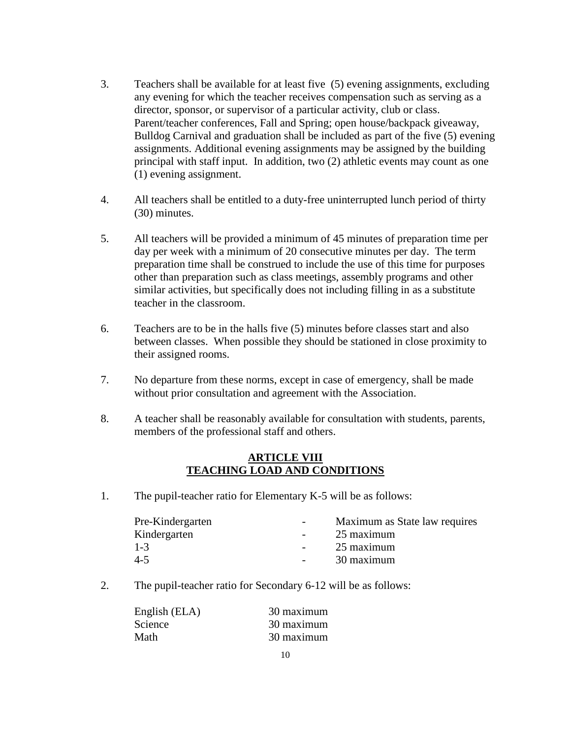- 3. Teachers shall be available for at least five (5) evening assignments, excluding any evening for which the teacher receives compensation such as serving as a director, sponsor, or supervisor of a particular activity, club or class. Parent/teacher conferences, Fall and Spring; open house/backpack giveaway, Bulldog Carnival and graduation shall be included as part of the five (5) evening assignments. Additional evening assignments may be assigned by the building principal with staff input. In addition, two (2) athletic events may count as one (1) evening assignment.
- 4. All teachers shall be entitled to a duty-free uninterrupted lunch period of thirty (30) minutes.
- 5. All teachers will be provided a minimum of 45 minutes of preparation time per day per week with a minimum of 20 consecutive minutes per day. The term preparation time shall be construed to include the use of this time for purposes other than preparation such as class meetings, assembly programs and other similar activities, but specifically does not including filling in as a substitute teacher in the classroom.
- 6. Teachers are to be in the halls five (5) minutes before classes start and also between classes. When possible they should be stationed in close proximity to their assigned rooms.
- 7. No departure from these norms, except in case of emergency, shall be made without prior consultation and agreement with the Association.
- 8. A teacher shall be reasonably available for consultation with students, parents, members of the professional staff and others.

#### **ARTICLE VIII TEACHING LOAD AND CONDITIONS**

1. The pupil-teacher ratio for Elementary K-5 will be as follows:

| Pre-Kindergarten | $\sim$ $\sim$ | Maximum as State law requires |
|------------------|---------------|-------------------------------|
| Kindergarten     |               | 25 maximum                    |
| $1 - 3$          |               | 25 maximum                    |
| $4 - 5$          | $\sim$ $\sim$ | 30 maximum                    |
|                  |               |                               |

2. The pupil-teacher ratio for Secondary 6-12 will be as follows:

| 30 maximum |
|------------|
| 30 maximum |
| 30 maximum |
|            |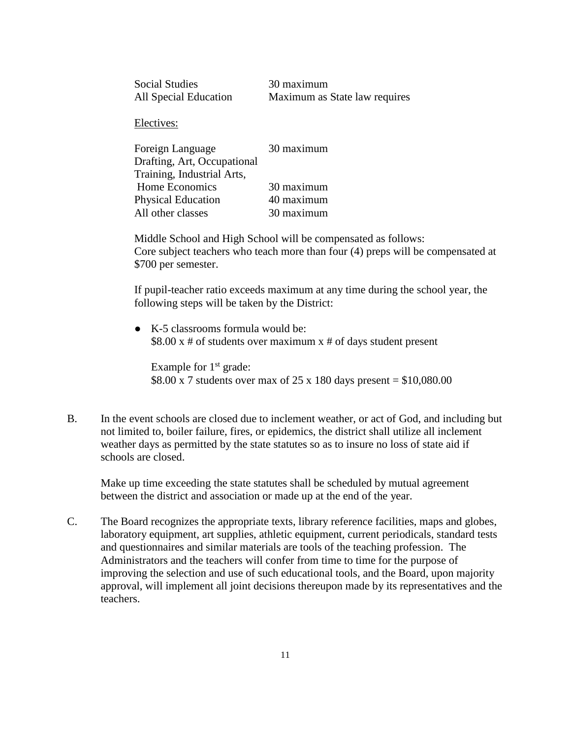| <b>Social Studies</b> | 30 maximum                    |
|-----------------------|-------------------------------|
| All Special Education | Maximum as State law requires |

Electives:

| Foreign Language            | 30 maximum |
|-----------------------------|------------|
| Drafting, Art, Occupational |            |
| Training, Industrial Arts,  |            |
| Home Economics              | 30 maximum |
| Physical Education          | 40 maximum |
| All other classes           | 30 maximum |

Middle School and High School will be compensated as follows: Core subject teachers who teach more than four (4) preps will be compensated at \$700 per semester.

If pupil-teacher ratio exceeds maximum at any time during the school year, the following steps will be taken by the District:

● K-5 classrooms formula would be:  $$8.00 \text{ x } # \text{ of students over maximum x } # \text{ of days student present}$ 

Example for  $1<sup>st</sup>$  grade: \$8.00 x 7 students over max of 25 x 180 days present =  $$10,080.00$ 

B. In the event schools are closed due to inclement weather, or act of God, and including but not limited to, boiler failure, fires, or epidemics, the district shall utilize all inclement weather days as permitted by the state statutes so as to insure no loss of state aid if schools are closed.

Make up time exceeding the state statutes shall be scheduled by mutual agreement between the district and association or made up at the end of the year.

C. The Board recognizes the appropriate texts, library reference facilities, maps and globes, laboratory equipment, art supplies, athletic equipment, current periodicals, standard tests and questionnaires and similar materials are tools of the teaching profession. The Administrators and the teachers will confer from time to time for the purpose of improving the selection and use of such educational tools, and the Board, upon majority approval, will implement all joint decisions thereupon made by its representatives and the teachers.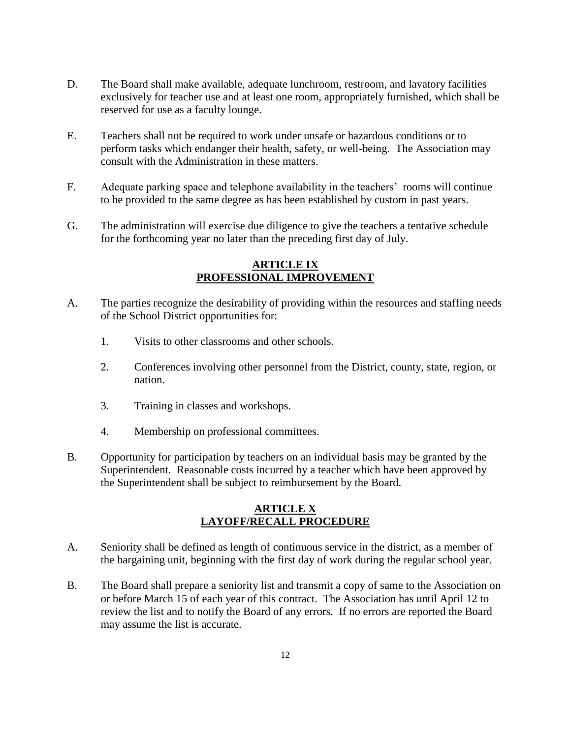- D. The Board shall make available, adequate lunchroom, restroom, and lavatory facilities exclusively for teacher use and at least one room, appropriately furnished, which shall be reserved for use as a faculty lounge.
- E. Teachers shall not be required to work under unsafe or hazardous conditions or to perform tasks which endanger their health, safety, or well-being. The Association may consult with the Administration in these matters.
- F. Adequate parking space and telephone availability in the teachers' rooms will continue to be provided to the same degree as has been established by custom in past years.
- G. The administration will exercise due diligence to give the teachers a tentative schedule for the forthcoming year no later than the preceding first day of July.

#### **ARTICLE IX PROFESSIONAL IMPROVEMENT**

- A. The parties recognize the desirability of providing within the resources and staffing needs of the School District opportunities for:
	- 1. Visits to other classrooms and other schools.
	- 2. Conferences involving other personnel from the District, county, state, region, or nation.
	- 3. Training in classes and workshops.
	- 4. Membership on professional committees.
- B. Opportunity for participation by teachers on an individual basis may be granted by the Superintendent. Reasonable costs incurred by a teacher which have been approved by the Superintendent shall be subject to reimbursement by the Board.

#### **ARTICLE X LAYOFF/RECALL PROCEDURE**

- A. Seniority shall be defined as length of continuous service in the district, as a member of the bargaining unit, beginning with the first day of work during the regular school year.
- B. The Board shall prepare a seniority list and transmit a copy of same to the Association on or before March 15 of each year of this contract. The Association has until April 12 to review the list and to notify the Board of any errors. If no errors are reported the Board may assume the list is accurate.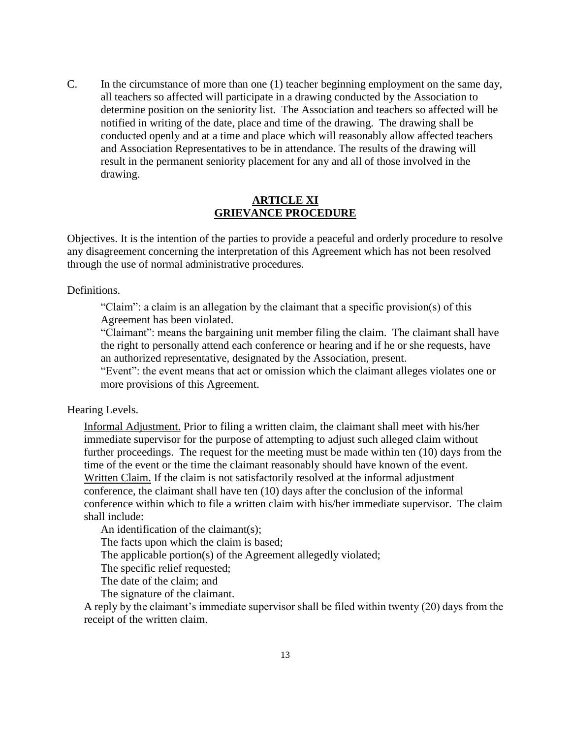C. In the circumstance of more than one (1) teacher beginning employment on the same day, all teachers so affected will participate in a drawing conducted by the Association to determine position on the seniority list. The Association and teachers so affected will be notified in writing of the date, place and time of the drawing. The drawing shall be conducted openly and at a time and place which will reasonably allow affected teachers and Association Representatives to be in attendance. The results of the drawing will result in the permanent seniority placement for any and all of those involved in the drawing.

#### **ARTICLE XI GRIEVANCE PROCEDURE**

Objectives. It is the intention of the parties to provide a peaceful and orderly procedure to resolve any disagreement concerning the interpretation of this Agreement which has not been resolved through the use of normal administrative procedures.

Definitions.

"Claim": a claim is an allegation by the claimant that a specific provision(s) of this Agreement has been violated.

"Claimant": means the bargaining unit member filing the claim. The claimant shall have the right to personally attend each conference or hearing and if he or she requests, have an authorized representative, designated by the Association, present.

"Event": the event means that act or omission which the claimant alleges violates one or more provisions of this Agreement.

Hearing Levels.

Informal Adjustment. Prior to filing a written claim, the claimant shall meet with his/her immediate supervisor for the purpose of attempting to adjust such alleged claim without further proceedings. The request for the meeting must be made within ten (10) days from the time of the event or the time the claimant reasonably should have known of the event. Written Claim. If the claim is not satisfactorily resolved at the informal adjustment conference, the claimant shall have ten (10) days after the conclusion of the informal conference within which to file a written claim with his/her immediate supervisor. The claim shall include:

An identification of the claimant(s):

The facts upon which the claim is based;

The applicable portion(s) of the Agreement allegedly violated;

The specific relief requested;

The date of the claim; and

The signature of the claimant.

A reply by the claimant's immediate supervisor shall be filed within twenty (20) days from the receipt of the written claim.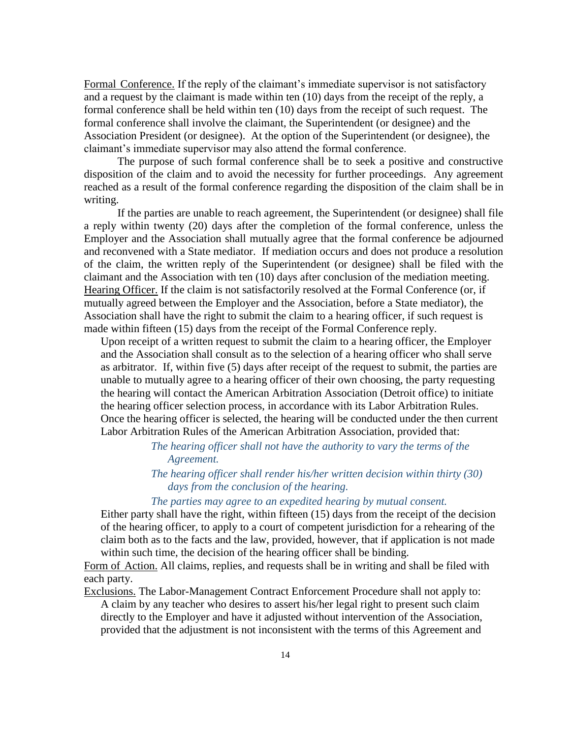Formal Conference. If the reply of the claimant's immediate supervisor is not satisfactory and a request by the claimant is made within ten (10) days from the receipt of the reply, a formal conference shall be held within ten (10) days from the receipt of such request. The formal conference shall involve the claimant, the Superintendent (or designee) and the Association President (or designee). At the option of the Superintendent (or designee), the claimant's immediate supervisor may also attend the formal conference.

The purpose of such formal conference shall be to seek a positive and constructive disposition of the claim and to avoid the necessity for further proceedings. Any agreement reached as a result of the formal conference regarding the disposition of the claim shall be in writing.

If the parties are unable to reach agreement, the Superintendent (or designee) shall file a reply within twenty (20) days after the completion of the formal conference, unless the Employer and the Association shall mutually agree that the formal conference be adjourned and reconvened with a State mediator. If mediation occurs and does not produce a resolution of the claim, the written reply of the Superintendent (or designee) shall be filed with the claimant and the Association with ten (10) days after conclusion of the mediation meeting. Hearing Officer. If the claim is not satisfactorily resolved at the Formal Conference (or, if mutually agreed between the Employer and the Association, before a State mediator), the Association shall have the right to submit the claim to a hearing officer, if such request is made within fifteen (15) days from the receipt of the Formal Conference reply.

Upon receipt of a written request to submit the claim to a hearing officer, the Employer and the Association shall consult as to the selection of a hearing officer who shall serve as arbitrator. If, within five (5) days after receipt of the request to submit, the parties are unable to mutually agree to a hearing officer of their own choosing, the party requesting the hearing will contact the American Arbitration Association (Detroit office) to initiate the hearing officer selection process, in accordance with its Labor Arbitration Rules. Once the hearing officer is selected, the hearing will be conducted under the then current Labor Arbitration Rules of the American Arbitration Association, provided that:

> *The hearing officer shall not have the authority to vary the terms of the Agreement.*

#### *The hearing officer shall render his/her written decision within thirty (30) days from the conclusion of the hearing.*

#### *The parties may agree to an expedited hearing by mutual consent.*

Either party shall have the right, within fifteen (15) days from the receipt of the decision of the hearing officer, to apply to a court of competent jurisdiction for a rehearing of the claim both as to the facts and the law, provided, however, that if application is not made within such time, the decision of the hearing officer shall be binding.

Form of Action. All claims, replies, and requests shall be in writing and shall be filed with each party.

Exclusions. The Labor-Management Contract Enforcement Procedure shall not apply to:

A claim by any teacher who desires to assert his/her legal right to present such claim directly to the Employer and have it adjusted without intervention of the Association, provided that the adjustment is not inconsistent with the terms of this Agreement and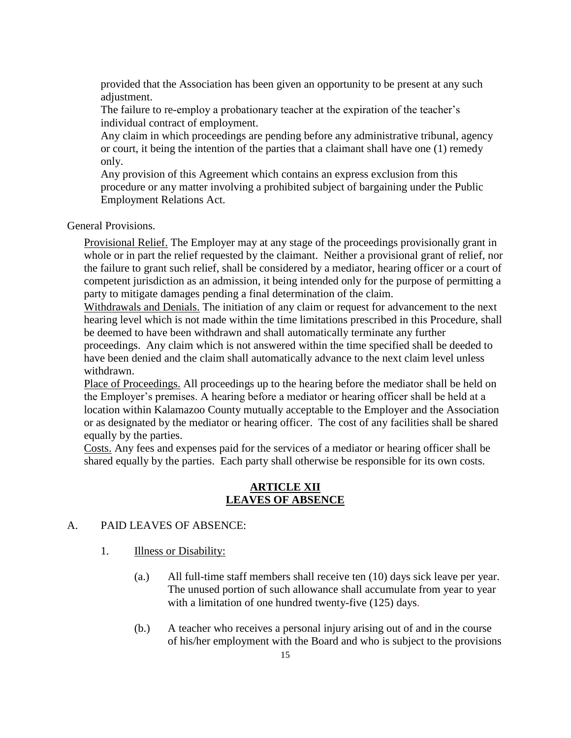provided that the Association has been given an opportunity to be present at any such adjustment.

The failure to re-employ a probationary teacher at the expiration of the teacher's individual contract of employment.

Any claim in which proceedings are pending before any administrative tribunal, agency or court, it being the intention of the parties that a claimant shall have one (1) remedy only.

Any provision of this Agreement which contains an express exclusion from this procedure or any matter involving a prohibited subject of bargaining under the Public Employment Relations Act.

General Provisions.

Provisional Relief. The Employer may at any stage of the proceedings provisionally grant in whole or in part the relief requested by the claimant. Neither a provisional grant of relief, nor the failure to grant such relief, shall be considered by a mediator, hearing officer or a court of competent jurisdiction as an admission, it being intended only for the purpose of permitting a party to mitigate damages pending a final determination of the claim.

Withdrawals and Denials. The initiation of any claim or request for advancement to the next hearing level which is not made within the time limitations prescribed in this Procedure, shall be deemed to have been withdrawn and shall automatically terminate any further proceedings. Any claim which is not answered within the time specified shall be deeded to have been denied and the claim shall automatically advance to the next claim level unless withdrawn.

Place of Proceedings. All proceedings up to the hearing before the mediator shall be held on the Employer's premises. A hearing before a mediator or hearing officer shall be held at a location within Kalamazoo County mutually acceptable to the Employer and the Association or as designated by the mediator or hearing officer. The cost of any facilities shall be shared equally by the parties.

Costs. Any fees and expenses paid for the services of a mediator or hearing officer shall be shared equally by the parties. Each party shall otherwise be responsible for its own costs.

#### **ARTICLE XII LEAVES OF ABSENCE**

#### A. PAID LEAVES OF ABSENCE:

- 1. **Illness or Disability:** 
	- (a.) All full-time staff members shall receive ten (10) days sick leave per year. The unused portion of such allowance shall accumulate from year to year with a limitation of one hundred twenty-five (125) days.
	- (b.) A teacher who receives a personal injury arising out of and in the course of his/her employment with the Board and who is subject to the provisions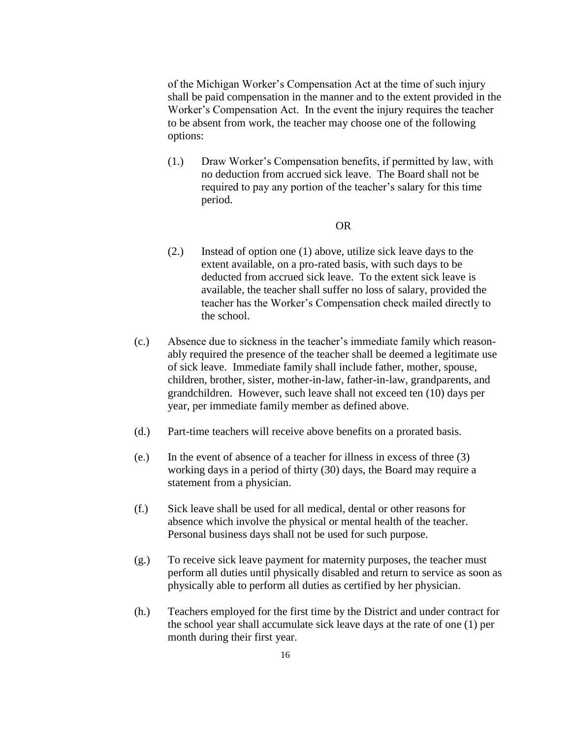of the Michigan Worker's Compensation Act at the time of such injury shall be paid compensation in the manner and to the extent provided in the Worker's Compensation Act. In the event the injury requires the teacher to be absent from work, the teacher may choose one of the following options:

(1.) Draw Worker's Compensation benefits, if permitted by law, with no deduction from accrued sick leave. The Board shall not be required to pay any portion of the teacher's salary for this time period.

#### OR

- (2.) Instead of option one (1) above, utilize sick leave days to the extent available, on a pro-rated basis, with such days to be deducted from accrued sick leave. To the extent sick leave is available, the teacher shall suffer no loss of salary, provided the teacher has the Worker's Compensation check mailed directly to the school.
- (c.) Absence due to sickness in the teacher's immediate family which reasonably required the presence of the teacher shall be deemed a legitimate use of sick leave. Immediate family shall include father, mother, spouse, children, brother, sister, mother-in-law, father-in-law, grandparents, and grandchildren. However, such leave shall not exceed ten (10) days per year, per immediate family member as defined above.
- (d.) Part-time teachers will receive above benefits on a prorated basis.
- (e.) In the event of absence of a teacher for illness in excess of three (3) working days in a period of thirty (30) days, the Board may require a statement from a physician.
- (f.) Sick leave shall be used for all medical, dental or other reasons for absence which involve the physical or mental health of the teacher. Personal business days shall not be used for such purpose.
- (g.) To receive sick leave payment for maternity purposes, the teacher must perform all duties until physically disabled and return to service as soon as physically able to perform all duties as certified by her physician.
- (h.) Teachers employed for the first time by the District and under contract for the school year shall accumulate sick leave days at the rate of one (1) per month during their first year.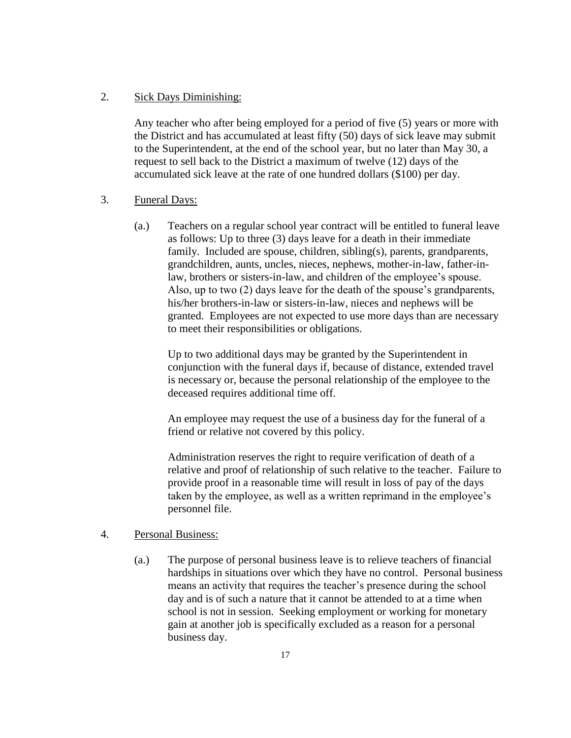#### 2. Sick Days Diminishing:

Any teacher who after being employed for a period of five (5) years or more with the District and has accumulated at least fifty (50) days of sick leave may submit to the Superintendent, at the end of the school year, but no later than May 30, a request to sell back to the District a maximum of twelve (12) days of the accumulated sick leave at the rate of one hundred dollars (\$100) per day.

#### 3. Funeral Days:

(a.) Teachers on a regular school year contract will be entitled to funeral leave as follows: Up to three (3) days leave for a death in their immediate family. Included are spouse, children, sibling(s), parents, grandparents, grandchildren, aunts, uncles, nieces, nephews, mother-in-law, father-inlaw, brothers or sisters-in-law, and children of the employee's spouse. Also, up to two (2) days leave for the death of the spouse's grandparents, his/her brothers-in-law or sisters-in-law, nieces and nephews will be granted. Employees are not expected to use more days than are necessary to meet their responsibilities or obligations.

Up to two additional days may be granted by the Superintendent in conjunction with the funeral days if, because of distance, extended travel is necessary or, because the personal relationship of the employee to the deceased requires additional time off.

An employee may request the use of a business day for the funeral of a friend or relative not covered by this policy.

Administration reserves the right to require verification of death of a relative and proof of relationship of such relative to the teacher. Failure to provide proof in a reasonable time will result in loss of pay of the days taken by the employee, as well as a written reprimand in the employee's personnel file.

#### 4. Personal Business:

(a.) The purpose of personal business leave is to relieve teachers of financial hardships in situations over which they have no control. Personal business means an activity that requires the teacher's presence during the school day and is of such a nature that it cannot be attended to at a time when school is not in session. Seeking employment or working for monetary gain at another job is specifically excluded as a reason for a personal business day.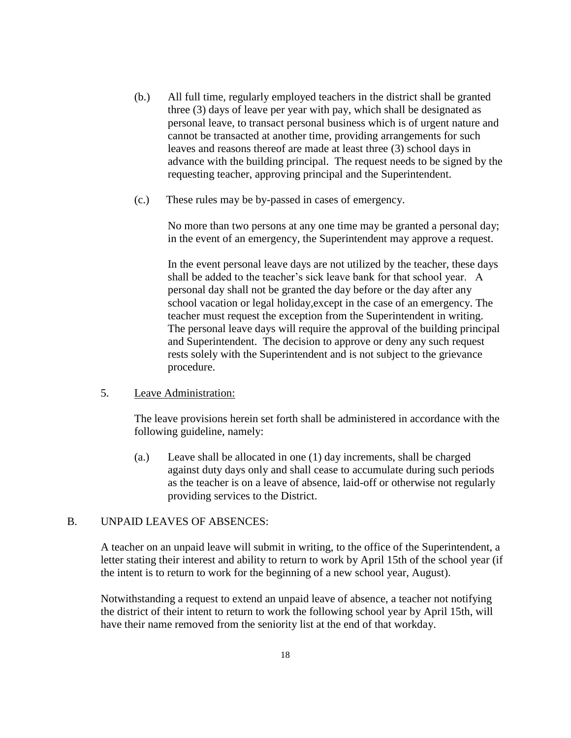- (b.) All full time, regularly employed teachers in the district shall be granted three (3) days of leave per year with pay, which shall be designated as personal leave, to transact personal business which is of urgent nature and cannot be transacted at another time, providing arrangements for such leaves and reasons thereof are made at least three (3) school days in advance with the building principal. The request needs to be signed by the requesting teacher, approving principal and the Superintendent.
- (c.) These rules may be by-passed in cases of emergency.

No more than two persons at any one time may be granted a personal day; in the event of an emergency, the Superintendent may approve a request.

In the event personal leave days are not utilized by the teacher, these days shall be added to the teacher's sick leave bank for that school year. A personal day shall not be granted the day before or the day after any school vacation or legal holiday,except in the case of an emergency. The teacher must request the exception from the Superintendent in writing. The personal leave days will require the approval of the building principal and Superintendent. The decision to approve or deny any such request rests solely with the Superintendent and is not subject to the grievance procedure.

#### 5. Leave Administration:

The leave provisions herein set forth shall be administered in accordance with the following guideline, namely:

(a.) Leave shall be allocated in one (1) day increments, shall be charged against duty days only and shall cease to accumulate during such periods as the teacher is on a leave of absence, laid-off or otherwise not regularly providing services to the District.

#### B. UNPAID LEAVES OF ABSENCES:

A teacher on an unpaid leave will submit in writing, to the office of the Superintendent, a letter stating their interest and ability to return to work by April 15th of the school year (if the intent is to return to work for the beginning of a new school year, August).

Notwithstanding a request to extend an unpaid leave of absence, a teacher not notifying the district of their intent to return to work the following school year by April 15th, will have their name removed from the seniority list at the end of that workday.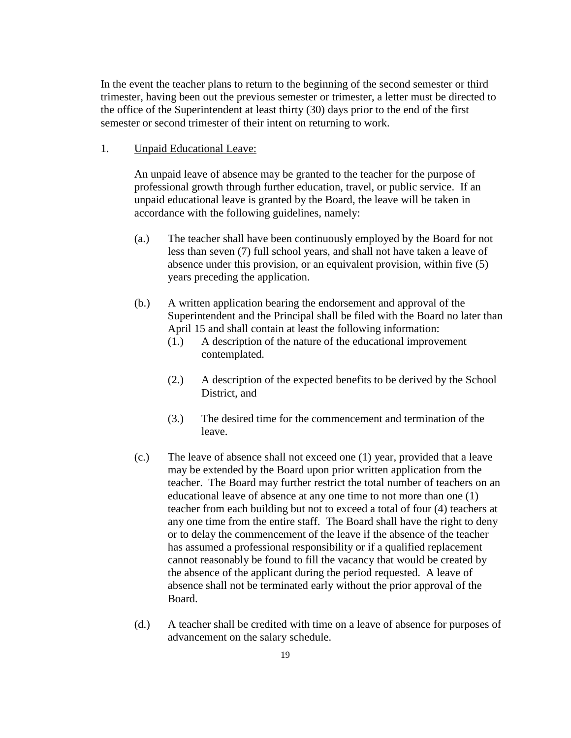In the event the teacher plans to return to the beginning of the second semester or third trimester, having been out the previous semester or trimester, a letter must be directed to the office of the Superintendent at least thirty (30) days prior to the end of the first semester or second trimester of their intent on returning to work.

1. Unpaid Educational Leave:

An unpaid leave of absence may be granted to the teacher for the purpose of professional growth through further education, travel, or public service. If an unpaid educational leave is granted by the Board, the leave will be taken in accordance with the following guidelines, namely:

- (a.) The teacher shall have been continuously employed by the Board for not less than seven (7) full school years, and shall not have taken a leave of absence under this provision, or an equivalent provision, within five (5) years preceding the application.
- (b.) A written application bearing the endorsement and approval of the Superintendent and the Principal shall be filed with the Board no later than April 15 and shall contain at least the following information:
	- (1.) A description of the nature of the educational improvement contemplated.
	- (2.) A description of the expected benefits to be derived by the School District, and
	- (3.) The desired time for the commencement and termination of the leave.
- (c.) The leave of absence shall not exceed one (1) year, provided that a leave may be extended by the Board upon prior written application from the teacher. The Board may further restrict the total number of teachers on an educational leave of absence at any one time to not more than one (1) teacher from each building but not to exceed a total of four (4) teachers at any one time from the entire staff. The Board shall have the right to deny or to delay the commencement of the leave if the absence of the teacher has assumed a professional responsibility or if a qualified replacement cannot reasonably be found to fill the vacancy that would be created by the absence of the applicant during the period requested. A leave of absence shall not be terminated early without the prior approval of the Board.
- (d.) A teacher shall be credited with time on a leave of absence for purposes of advancement on the salary schedule.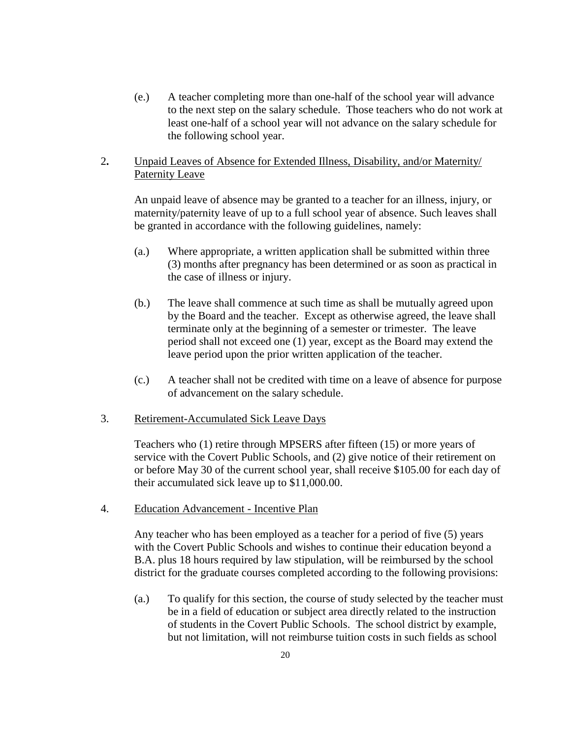(e.) A teacher completing more than one-half of the school year will advance to the next step on the salary schedule. Those teachers who do not work at least one-half of a school year will not advance on the salary schedule for the following school year.

#### 2**.** Unpaid Leaves of Absence for Extended Illness, Disability, and/or Maternity/ Paternity Leave

An unpaid leave of absence may be granted to a teacher for an illness, injury, or maternity/paternity leave of up to a full school year of absence. Such leaves shall be granted in accordance with the following guidelines, namely:

- (a.) Where appropriate, a written application shall be submitted within three (3) months after pregnancy has been determined or as soon as practical in the case of illness or injury.
- (b.) The leave shall commence at such time as shall be mutually agreed upon by the Board and the teacher. Except as otherwise agreed, the leave shall terminate only at the beginning of a semester or trimester. The leave period shall not exceed one (1) year, except as the Board may extend the leave period upon the prior written application of the teacher.
- (c.) A teacher shall not be credited with time on a leave of absence for purpose of advancement on the salary schedule.
- 3. Retirement-Accumulated Sick Leave Days

Teachers who (1) retire through MPSERS after fifteen (15) or more years of service with the Covert Public Schools, and (2) give notice of their retirement on or before May 30 of the current school year, shall receive \$105.00 for each day of their accumulated sick leave up to \$11,000.00.

4. Education Advancement - Incentive Plan

Any teacher who has been employed as a teacher for a period of five (5) years with the Covert Public Schools and wishes to continue their education beyond a B.A. plus 18 hours required by law stipulation, will be reimbursed by the school district for the graduate courses completed according to the following provisions:

(a.) To qualify for this section, the course of study selected by the teacher must be in a field of education or subject area directly related to the instruction of students in the Covert Public Schools. The school district by example, but not limitation, will not reimburse tuition costs in such fields as school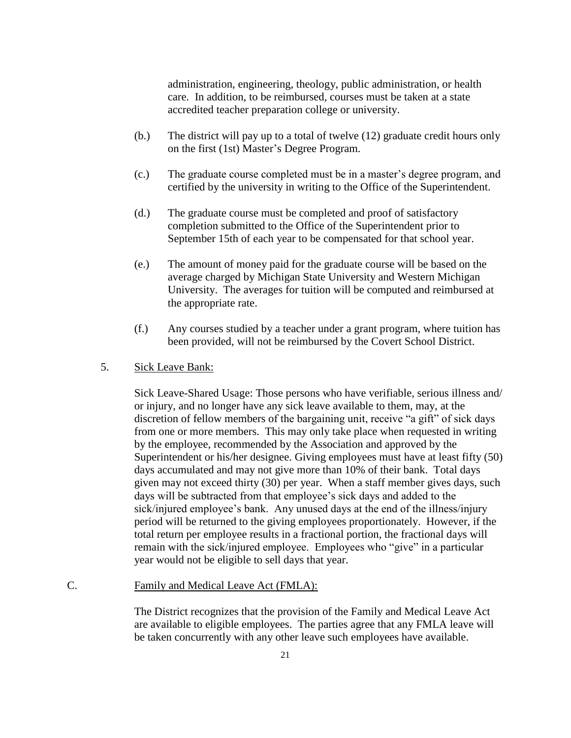administration, engineering, theology, public administration, or health care. In addition, to be reimbursed, courses must be taken at a state accredited teacher preparation college or university.

- (b.) The district will pay up to a total of twelve (12) graduate credit hours only on the first (1st) Master's Degree Program.
- (c.) The graduate course completed must be in a master's degree program, and certified by the university in writing to the Office of the Superintendent.
- (d.) The graduate course must be completed and proof of satisfactory completion submitted to the Office of the Superintendent prior to September 15th of each year to be compensated for that school year.
- (e.) The amount of money paid for the graduate course will be based on the average charged by Michigan State University and Western Michigan University. The averages for tuition will be computed and reimbursed at the appropriate rate.
- (f.) Any courses studied by a teacher under a grant program, where tuition has been provided, will not be reimbursed by the Covert School District.

#### 5. Sick Leave Bank:

Sick Leave-Shared Usage: Those persons who have verifiable, serious illness and/ or injury, and no longer have any sick leave available to them, may, at the discretion of fellow members of the bargaining unit, receive "a gift" of sick days from one or more members. This may only take place when requested in writing by the employee, recommended by the Association and approved by the Superintendent or his/her designee. Giving employees must have at least fifty (50) days accumulated and may not give more than 10% of their bank. Total days given may not exceed thirty (30) per year. When a staff member gives days, such days will be subtracted from that employee's sick days and added to the sick/injured employee's bank. Any unused days at the end of the illness/injury period will be returned to the giving employees proportionately. However, if the total return per employee results in a fractional portion, the fractional days will remain with the sick/injured employee. Employees who "give" in a particular year would not be eligible to sell days that year.

#### C. Family and Medical Leave Act (FMLA):

The District recognizes that the provision of the Family and Medical Leave Act are available to eligible employees. The parties agree that any FMLA leave will be taken concurrently with any other leave such employees have available.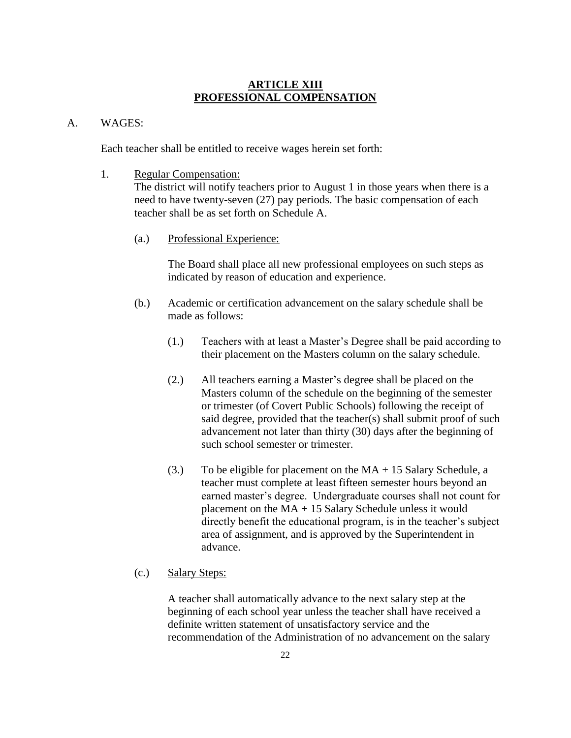#### **ARTICLE XIII PROFESSIONAL COMPENSATION**

#### A. WAGES:

Each teacher shall be entitled to receive wages herein set forth:

1. Regular Compensation:

The district will notify teachers prior to August 1 in those years when there is a need to have twenty-seven (27) pay periods. The basic compensation of each teacher shall be as set forth on Schedule A.

(a.) Professional Experience:

The Board shall place all new professional employees on such steps as indicated by reason of education and experience.

- (b.) Academic or certification advancement on the salary schedule shall be made as follows:
	- (1.) Teachers with at least a Master's Degree shall be paid according to their placement on the Masters column on the salary schedule.
	- (2.) All teachers earning a Master's degree shall be placed on the Masters column of the schedule on the beginning of the semester or trimester (of Covert Public Schools) following the receipt of said degree, provided that the teacher(s) shall submit proof of such advancement not later than thirty (30) days after the beginning of such school semester or trimester.
	- (3.) To be eligible for placement on the  $MA + 15$  Salary Schedule, a teacher must complete at least fifteen semester hours beyond an earned master's degree. Undergraduate courses shall not count for placement on the MA + 15 Salary Schedule unless it would directly benefit the educational program, is in the teacher's subject area of assignment, and is approved by the Superintendent in advance.
- (c.) Salary Steps:

A teacher shall automatically advance to the next salary step at the beginning of each school year unless the teacher shall have received a definite written statement of unsatisfactory service and the recommendation of the Administration of no advancement on the salary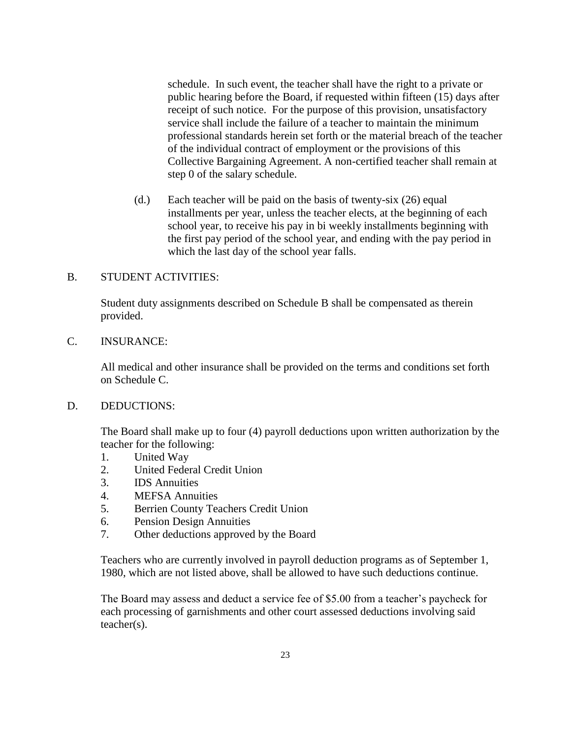schedule. In such event, the teacher shall have the right to a private or public hearing before the Board, if requested within fifteen (15) days after receipt of such notice. For the purpose of this provision, unsatisfactory service shall include the failure of a teacher to maintain the minimum professional standards herein set forth or the material breach of the teacher of the individual contract of employment or the provisions of this Collective Bargaining Agreement. A non-certified teacher shall remain at step 0 of the salary schedule.

(d.) Each teacher will be paid on the basis of twenty-six (26) equal installments per year, unless the teacher elects, at the beginning of each school year, to receive his pay in bi weekly installments beginning with the first pay period of the school year, and ending with the pay period in which the last day of the school year falls.

#### B. STUDENT ACTIVITIES:

Student duty assignments described on Schedule B shall be compensated as therein provided.

#### C. INSURANCE:

All medical and other insurance shall be provided on the terms and conditions set forth on Schedule C.

#### D. DEDUCTIONS:

The Board shall make up to four (4) payroll deductions upon written authorization by the teacher for the following:

- 1. United Way
- 2. United Federal Credit Union
- 3. IDS Annuities
- 4. MEFSA Annuities
- 5. Berrien County Teachers Credit Union
- 6. Pension Design Annuities
- 7. Other deductions approved by the Board

Teachers who are currently involved in payroll deduction programs as of September 1, 1980, which are not listed above, shall be allowed to have such deductions continue.

The Board may assess and deduct a service fee of \$5.00 from a teacher's paycheck for each processing of garnishments and other court assessed deductions involving said teacher(s).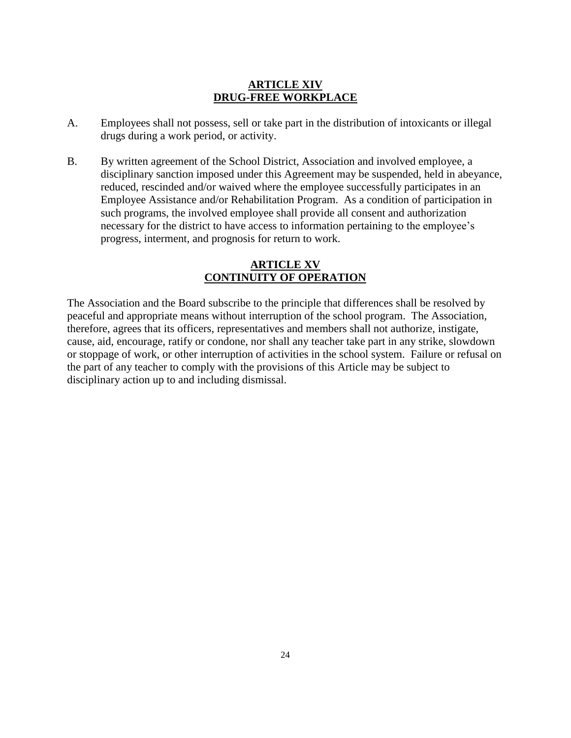#### **ARTICLE XIV DRUG-FREE WORKPLACE**

- A. Employees shall not possess, sell or take part in the distribution of intoxicants or illegal drugs during a work period, or activity.
- B. By written agreement of the School District, Association and involved employee, a disciplinary sanction imposed under this Agreement may be suspended, held in abeyance, reduced, rescinded and/or waived where the employee successfully participates in an Employee Assistance and/or Rehabilitation Program. As a condition of participation in such programs, the involved employee shall provide all consent and authorization necessary for the district to have access to information pertaining to the employee's progress, interment, and prognosis for return to work.

#### **ARTICLE XV CONTINUITY OF OPERATION**

The Association and the Board subscribe to the principle that differences shall be resolved by peaceful and appropriate means without interruption of the school program. The Association, therefore, agrees that its officers, representatives and members shall not authorize, instigate, cause, aid, encourage, ratify or condone, nor shall any teacher take part in any strike, slowdown or stoppage of work, or other interruption of activities in the school system. Failure or refusal on the part of any teacher to comply with the provisions of this Article may be subject to disciplinary action up to and including dismissal.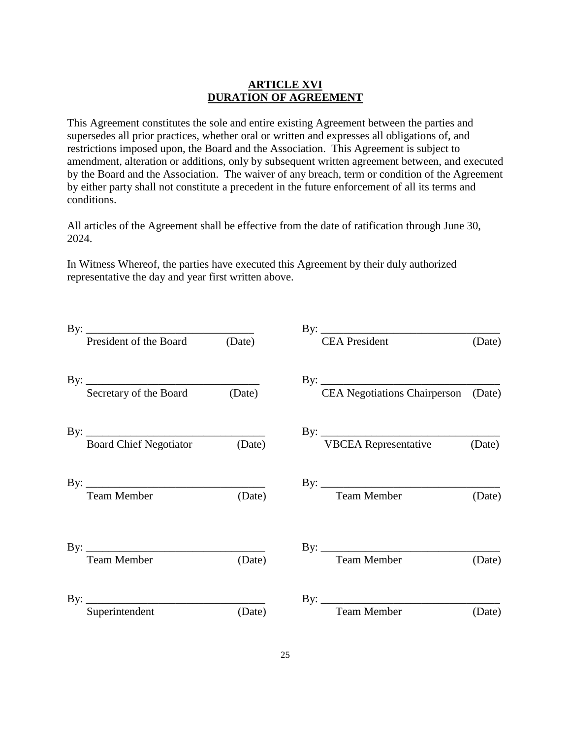#### **ARTICLE XVI DURATION OF AGREEMENT**

This Agreement constitutes the sole and entire existing Agreement between the parties and supersedes all prior practices, whether oral or written and expresses all obligations of, and restrictions imposed upon, the Board and the Association. This Agreement is subject to amendment, alteration or additions, only by subsequent written agreement between, and executed by the Board and the Association. The waiver of any breach, term or condition of the Agreement by either party shall not constitute a precedent in the future enforcement of all its terms and conditions.

All articles of the Agreement shall be effective from the date of ratification through June 30, 2024.

In Witness Whereof, the parties have executed this Agreement by their duly authorized representative the day and year first written above.

| President of the Board            | (Date) | <b>CEA</b> President                    | (Date) |
|-----------------------------------|--------|-----------------------------------------|--------|
| By: Secretary of the Board (Date) | (Date) | By: CEA Negotiations Chairperson (Date) |        |
| By: $\overline{\phantom{a}}$      |        |                                         |        |
| Board Chief Negotiator (Date)     |        | <b>VBCEA Representative</b>             | (Date) |
| <b>Team Member</b>                | (Date) | By: Team Member (D                      | (Date) |
| <b>Team Member</b>                | (Date) | <b>Team Member</b>                      | (Date) |
| Superintendent                    | (Date) | <b>Team Member</b>                      | (Date) |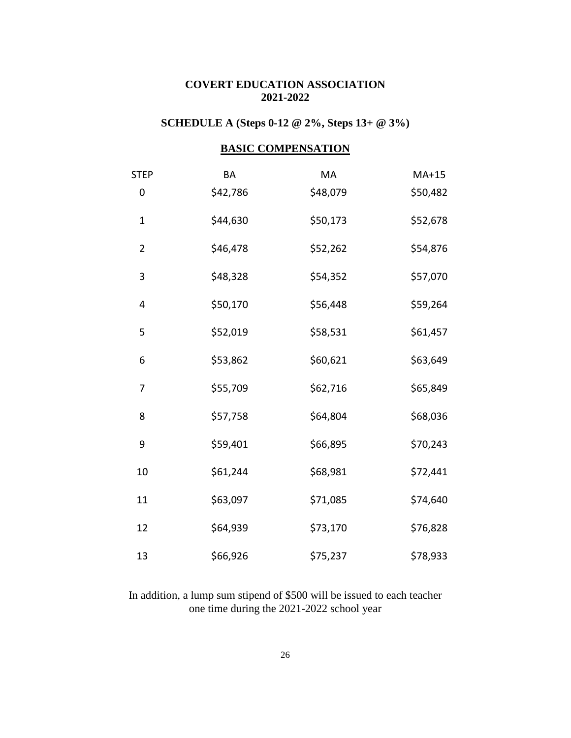# **COVERT EDUCATION ASSOCIATION 2021-2022**

# **SCHEDULE A (Steps 0-12 @ 2%, Steps 13+ @ 3%)**

# **BASIC COMPENSATION**

| <b>STEP</b>    | BA       | MA       | $MA+15$  |
|----------------|----------|----------|----------|
| 0              | \$42,786 | \$48,079 | \$50,482 |
| $\mathbf 1$    | \$44,630 | \$50,173 | \$52,678 |
| $\overline{2}$ | \$46,478 | \$52,262 | \$54,876 |
| 3              | \$48,328 | \$54,352 | \$57,070 |
| 4              | \$50,170 | \$56,448 | \$59,264 |
| 5              | \$52,019 | \$58,531 | \$61,457 |
| 6              | \$53,862 | \$60,621 | \$63,649 |
| 7              | \$55,709 | \$62,716 | \$65,849 |
| 8              | \$57,758 | \$64,804 | \$68,036 |
| 9              | \$59,401 | \$66,895 | \$70,243 |
| 10             | \$61,244 | \$68,981 | \$72,441 |
| 11             | \$63,097 | \$71,085 | \$74,640 |
| 12             | \$64,939 | \$73,170 | \$76,828 |
| 13             | \$66,926 | \$75,237 | \$78,933 |

In addition, a lump sum stipend of \$500 will be issued to each teacher one time during the 2021-2022 school year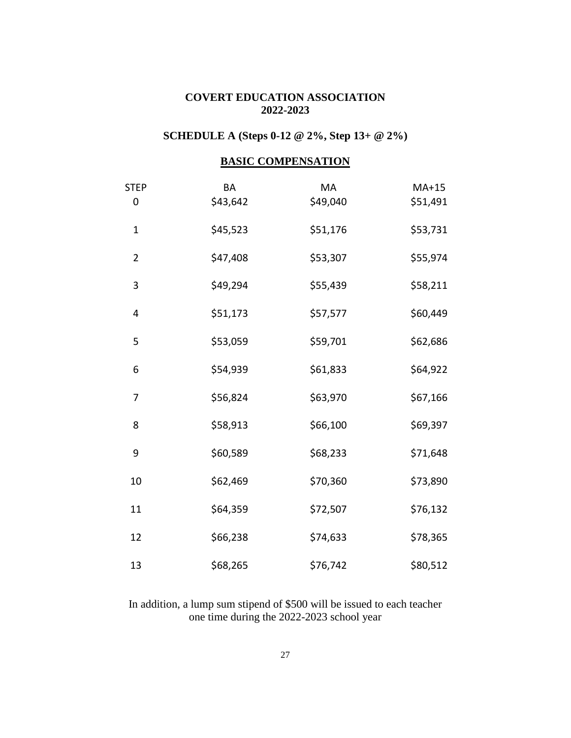#### **COVERT EDUCATION ASSOCIATION 2022-2023**

# **SCHEDULE A (Steps 0-12 @ 2%, Step 13+ @ 2%)**

# **BASIC COMPENSATION**

| <b>STEP</b><br>0 | BA<br>\$43,642 | MA<br>\$49,040 | $MA+15$<br>\$51,491 |
|------------------|----------------|----------------|---------------------|
| $\mathbf{1}$     | \$45,523       | \$51,176       | \$53,731            |
| $\overline{2}$   | \$47,408       | \$53,307       | \$55,974            |
| 3                | \$49,294       | \$55,439       | \$58,211            |
| 4                | \$51,173       | \$57,577       | \$60,449            |
| 5                | \$53,059       | \$59,701       | \$62,686            |
| 6                | \$54,939       | \$61,833       | \$64,922            |
| 7                | \$56,824       | \$63,970       | \$67,166            |
| 8                | \$58,913       | \$66,100       | \$69,397            |
| 9                | \$60,589       | \$68,233       | \$71,648            |
| 10               | \$62,469       | \$70,360       | \$73,890            |
| 11               | \$64,359       | \$72,507       | \$76,132            |
| 12               | \$66,238       | \$74,633       | \$78,365            |
| 13               | \$68,265       | \$76,742       | \$80,512            |

In addition, a lump sum stipend of \$500 will be issued to each teacher one time during the 2022-2023 school year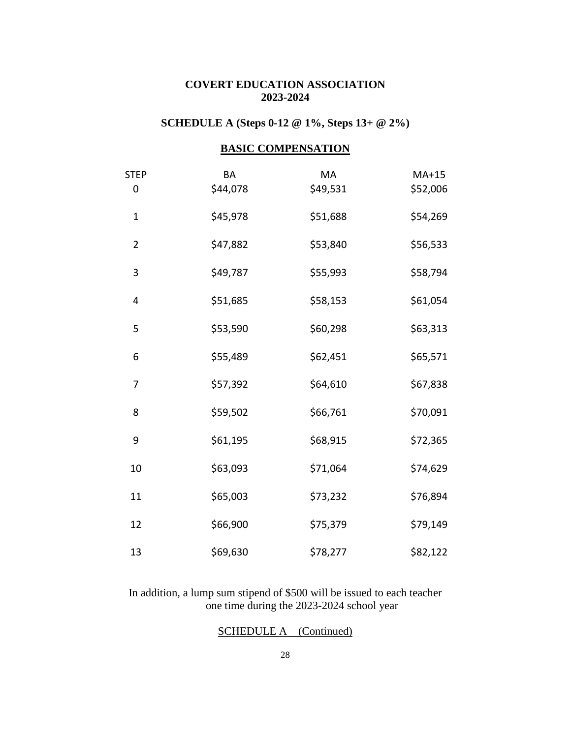### **COVERT EDUCATION ASSOCIATION 2023-2024**

# **SCHEDULE A (Steps 0-12 @ 1%, Steps 13+ @ 2%)**

#### **BASIC COMPENSATION**

| <b>STEP</b><br>0 | BA<br>\$44,078 | MA<br>\$49,531 | $MA+15$<br>\$52,006 |
|------------------|----------------|----------------|---------------------|
| $\mathbf 1$      | \$45,978       | \$51,688       | \$54,269            |
| $\overline{2}$   | \$47,882       | \$53,840       | \$56,533            |
| 3                | \$49,787       | \$55,993       | \$58,794            |
| 4                | \$51,685       | \$58,153       | \$61,054            |
| 5                | \$53,590       | \$60,298       | \$63,313            |
| 6                | \$55,489       | \$62,451       | \$65,571            |
| 7                | \$57,392       | \$64,610       | \$67,838            |
| 8                | \$59,502       | \$66,761       | \$70,091            |
| 9                | \$61,195       | \$68,915       | \$72,365            |
| 10               | \$63,093       | \$71,064       | \$74,629            |
| 11               | \$65,003       | \$73,232       | \$76,894            |
| 12               | \$66,900       | \$75,379       | \$79,149            |
| 13               | \$69,630       | \$78,277       | \$82,122            |

In addition, a lump sum stipend of \$500 will be issued to each teacher one time during the 2023-2024 school year

#### SCHEDULE A (Continued)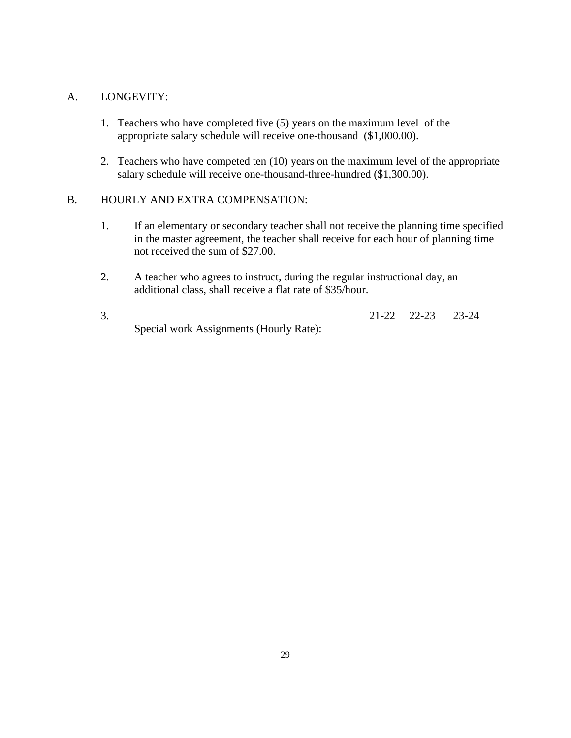#### A. LONGEVITY:

- 1. Teachers who have completed five (5) years on the maximum level of the appropriate salary schedule will receive one-thousand (\$1,000.00).
- 2. Teachers who have competed ten (10) years on the maximum level of the appropriate salary schedule will receive one-thousand-three-hundred (\$1,300.00).

#### B. HOURLY AND EXTRA COMPENSATION:

- 1. If an elementary or secondary teacher shall not receive the planning time specified in the master agreement, the teacher shall receive for each hour of planning time not received the sum of \$27.00.
- 2. A teacher who agrees to instruct, during the regular instructional day, an additional class, shall receive a flat rate of \$35/hour.
- 3. 21-22 22-23 23-24 Special work Assignments (Hourly Rate):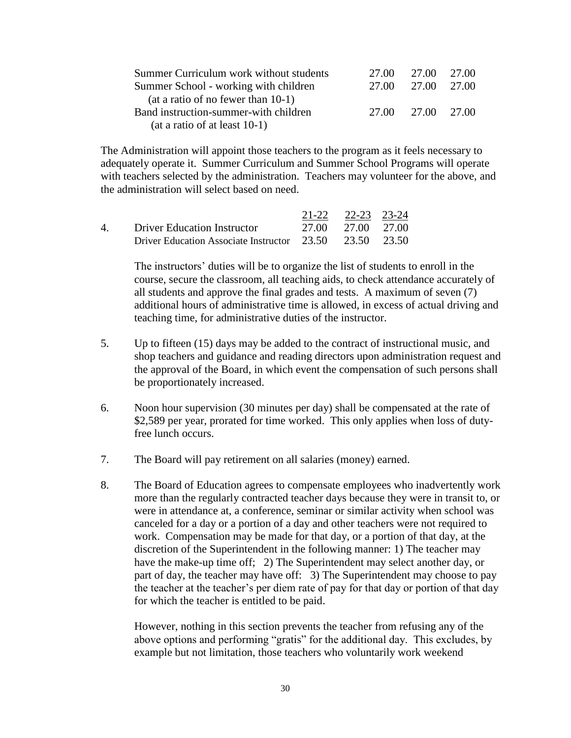| Summer Curriculum work without students | 27.00 | 27.00             | 27.00 |
|-----------------------------------------|-------|-------------------|-------|
| Summer School - working with children   | 27.00 | 27.00             | 27.00 |
| (at a ratio of no fewer than $10-1$ )   |       |                   |       |
| Band instruction-summer-with children   |       | 27.00 27.00 27.00 |       |
| $(at a ratio of at least 10-1)$         |       |                   |       |

The Administration will appoint those teachers to the program as it feels necessary to adequately operate it. Summer Curriculum and Summer School Programs will operate with teachers selected by the administration. Teachers may volunteer for the above, and the administration will select based on need.

|                   |                                                         | 21-22 22-23 23-24 |  |
|-------------------|---------------------------------------------------------|-------------------|--|
| $\mathbf{\Delta}$ | Driver Education Instructor                             | 27.00 27.00 27.00 |  |
|                   | Driver Education Associate Instructor 23.50 23.50 23.50 |                   |  |

The instructors' duties will be to organize the list of students to enroll in the course, secure the classroom, all teaching aids, to check attendance accurately of all students and approve the final grades and tests. A maximum of seven (7) additional hours of administrative time is allowed, in excess of actual driving and teaching time, for administrative duties of the instructor.

- 5. Up to fifteen (15) days may be added to the contract of instructional music, and shop teachers and guidance and reading directors upon administration request and the approval of the Board, in which event the compensation of such persons shall be proportionately increased.
- 6. Noon hour supervision (30 minutes per day) shall be compensated at the rate of \$2,589 per year, prorated for time worked. This only applies when loss of dutyfree lunch occurs.
- 7. The Board will pay retirement on all salaries (money) earned.
- 8. The Board of Education agrees to compensate employees who inadvertently work more than the regularly contracted teacher days because they were in transit to, or were in attendance at, a conference, seminar or similar activity when school was canceled for a day or a portion of a day and other teachers were not required to work. Compensation may be made for that day, or a portion of that day, at the discretion of the Superintendent in the following manner: 1) The teacher may have the make-up time off; 2) The Superintendent may select another day, or part of day, the teacher may have off: 3) The Superintendent may choose to pay the teacher at the teacher's per diem rate of pay for that day or portion of that day for which the teacher is entitled to be paid.

However, nothing in this section prevents the teacher from refusing any of the above options and performing "gratis" for the additional day. This excludes, by example but not limitation, those teachers who voluntarily work weekend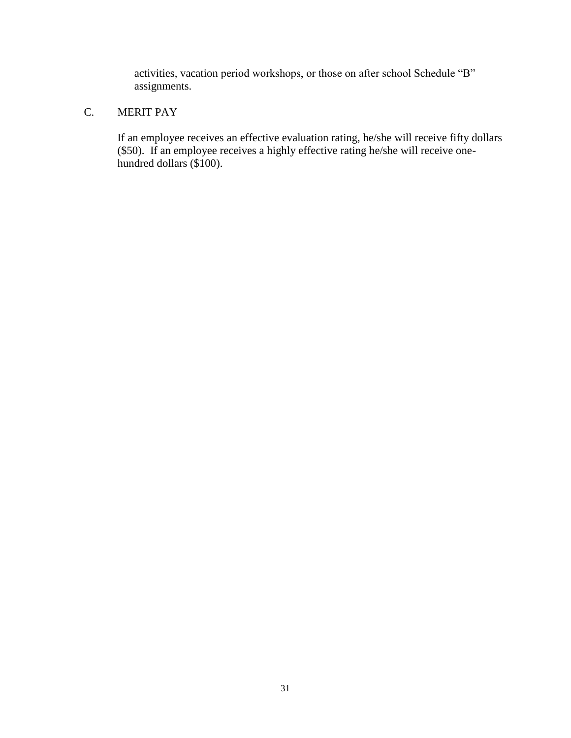activities, vacation period workshops, or those on after school Schedule "B" assignments.

# C. MERIT PAY

If an employee receives an effective evaluation rating, he/she will receive fifty dollars (\$50). If an employee receives a highly effective rating he/she will receive onehundred dollars (\$100).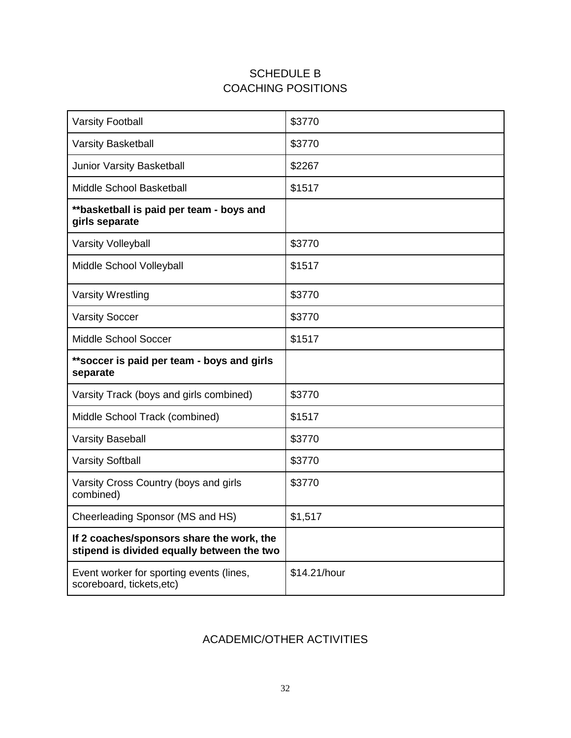# SCHEDULE B COACHING POSITIONS

| <b>Varsity Football</b>                                                                 | \$3770  |
|-----------------------------------------------------------------------------------------|---------|
| <b>Varsity Basketball</b>                                                               | \$3770  |
| Junior Varsity Basketball                                                               | \$2267  |
| Middle School Basketball                                                                | \$1517  |
| **basketball is paid per team - boys and<br>girls separate                              |         |
| <b>Varsity Volleyball</b>                                                               | \$3770  |
| Middle School Volleyball                                                                | \$1517  |
| <b>Varsity Wrestling</b>                                                                | \$3770  |
| <b>Varsity Soccer</b>                                                                   | \$3770  |
| Middle School Soccer                                                                    | \$1517  |
|                                                                                         |         |
| **soccer is paid per team - boys and girls<br>separate                                  |         |
| Varsity Track (boys and girls combined)                                                 | \$3770  |
| Middle School Track (combined)                                                          | \$1517  |
| <b>Varsity Baseball</b>                                                                 | \$3770  |
| <b>Varsity Softball</b>                                                                 | \$3770  |
| Varsity Cross Country (boys and girls<br>combined)                                      | \$3770  |
| Cheerleading Sponsor (MS and HS)                                                        | \$1,517 |
| If 2 coaches/sponsors share the work, the<br>stipend is divided equally between the two |         |

# ACADEMIC/OTHER ACTIVITIES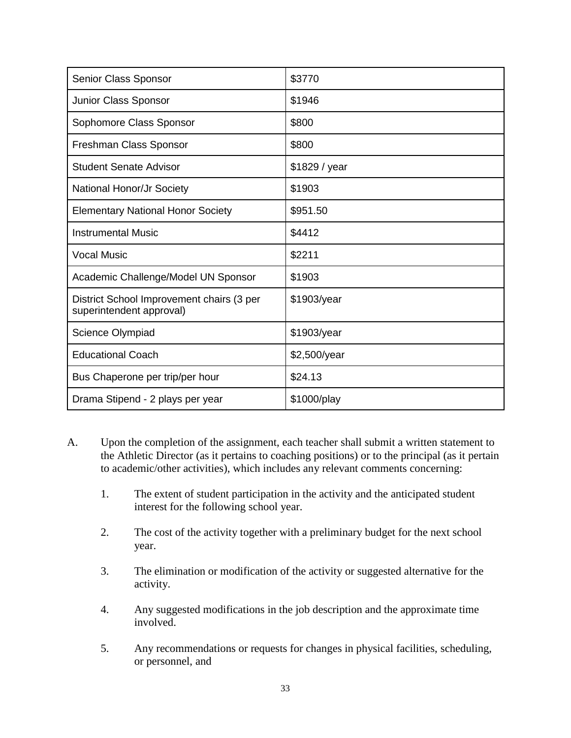| Senior Class Sponsor                                                  | \$3770        |
|-----------------------------------------------------------------------|---------------|
| Junior Class Sponsor                                                  | \$1946        |
| Sophomore Class Sponsor                                               | \$800         |
| Freshman Class Sponsor                                                | \$800         |
| <b>Student Senate Advisor</b>                                         | \$1829 / year |
| National Honor/Jr Society                                             | \$1903        |
| <b>Elementary National Honor Society</b>                              | \$951.50      |
| <b>Instrumental Music</b>                                             | \$4412        |
| <b>Vocal Music</b>                                                    | \$2211        |
| Academic Challenge/Model UN Sponsor                                   | \$1903        |
| District School Improvement chairs (3 per<br>superintendent approval) | \$1903/year   |
| Science Olympiad                                                      | \$1903/year   |
| <b>Educational Coach</b>                                              | \$2,500/year  |
| Bus Chaperone per trip/per hour                                       | \$24.13       |
| Drama Stipend - 2 plays per year                                      | \$1000/play   |

- A. Upon the completion of the assignment, each teacher shall submit a written statement to the Athletic Director (as it pertains to coaching positions) or to the principal (as it pertain to academic/other activities), which includes any relevant comments concerning:
	- 1. The extent of student participation in the activity and the anticipated student interest for the following school year.
	- 2. The cost of the activity together with a preliminary budget for the next school year.
	- 3. The elimination or modification of the activity or suggested alternative for the activity.
	- 4. Any suggested modifications in the job description and the approximate time involved.
	- 5. Any recommendations or requests for changes in physical facilities, scheduling, or personnel, and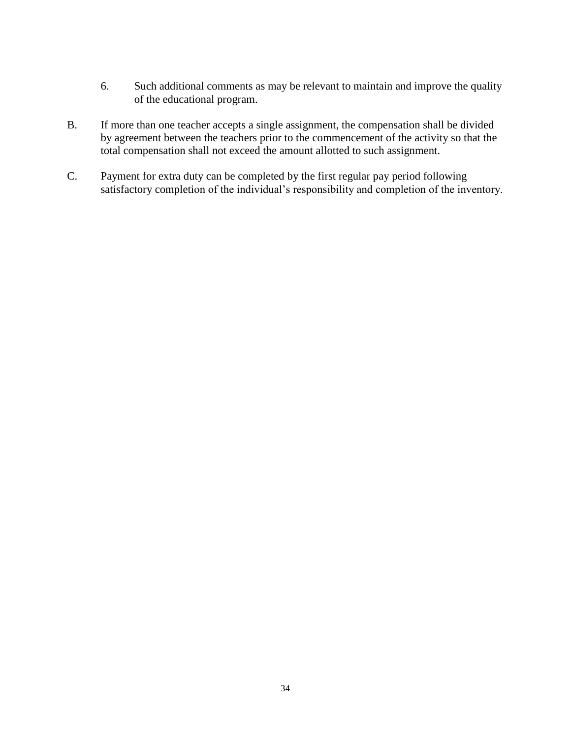- 6. Such additional comments as may be relevant to maintain and improve the quality of the educational program.
- B. If more than one teacher accepts a single assignment, the compensation shall be divided by agreement between the teachers prior to the commencement of the activity so that the total compensation shall not exceed the amount allotted to such assignment.
- C. Payment for extra duty can be completed by the first regular pay period following satisfactory completion of the individual's responsibility and completion of the inventory.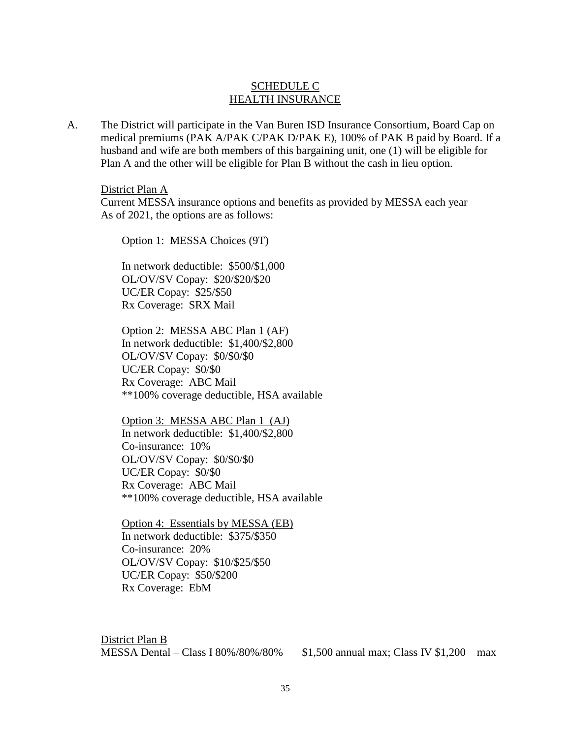#### SCHEDULE C HEALTH INSURANCE

A. The District will participate in the Van Buren ISD Insurance Consortium, Board Cap on medical premiums (PAK A/PAK C/PAK D/PAK E), 100% of PAK B paid by Board. If a husband and wife are both members of this bargaining unit, one (1) will be eligible for Plan A and the other will be eligible for Plan B without the cash in lieu option.

District Plan A

Current MESSA insurance options and benefits as provided by MESSA each year As of 2021, the options are as follows:

Option 1: MESSA Choices (9T)

In network deductible: \$500/\$1,000 OL/OV/SV Copay: \$20/\$20/\$20 UC/ER Copay: \$25/\$50 Rx Coverage: SRX Mail

Option 2: MESSA ABC Plan 1 (AF) In network deductible: \$1,400/\$2,800 OL/OV/SV Copay: \$0/\$0/\$0 UC/ER Copay: \$0/\$0 Rx Coverage: ABC Mail \*\*100% coverage deductible, HSA available

Option 3: MESSA ABC Plan 1 (AJ) In network deductible: \$1,400/\$2,800 Co-insurance: 10% OL/OV/SV Copay: \$0/\$0/\$0 UC/ER Copay: \$0/\$0 Rx Coverage: ABC Mail \*\*100% coverage deductible, HSA available

Option 4: Essentials by MESSA (EB) In network deductible: \$375/\$350 Co-insurance: 20% OL/OV/SV Copay: \$10/\$25/\$50 UC/ER Copay: \$50/\$200 Rx Coverage: EbM

District Plan B MESSA Dental – Class I 80%/80%/80% \$1,500 annual max; Class IV \$1,200 max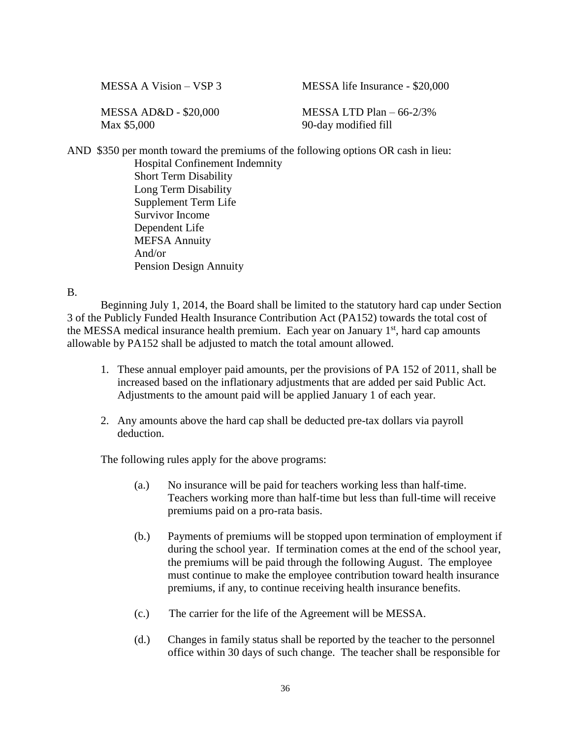MESSA A Vision – VSP 3 MESSA life Insurance - \$20,000

Max \$5,000 90-day modified fill

MESSA AD&D - \$20,000 MESSA LTD Plan – 66-2/3%

AND \$350 per month toward the premiums of the following options OR cash in lieu:

Hospital Confinement Indemnity Short Term Disability Long Term Disability Supplement Term Life Survivor Income Dependent Life MEFSA Annuity And/or Pension Design Annuity

B.

Beginning July 1, 2014, the Board shall be limited to the statutory hard cap under Section 3 of the Publicly Funded Health Insurance Contribution Act (PA152) towards the total cost of the MESSA medical insurance health premium. Each year on January 1<sup>st</sup>, hard cap amounts allowable by PA152 shall be adjusted to match the total amount allowed.

- 1. These annual employer paid amounts, per the provisions of PA 152 of 2011, shall be increased based on the inflationary adjustments that are added per said Public Act. Adjustments to the amount paid will be applied January 1 of each year.
- 2. Any amounts above the hard cap shall be deducted pre-tax dollars via payroll deduction.

The following rules apply for the above programs:

- (a.) No insurance will be paid for teachers working less than half-time. Teachers working more than half-time but less than full-time will receive premiums paid on a pro-rata basis.
- (b.) Payments of premiums will be stopped upon termination of employment if during the school year. If termination comes at the end of the school year, the premiums will be paid through the following August. The employee must continue to make the employee contribution toward health insurance premiums, if any, to continue receiving health insurance benefits.
- (c.) The carrier for the life of the Agreement will be MESSA.
- (d.) Changes in family status shall be reported by the teacher to the personnel office within 30 days of such change. The teacher shall be responsible for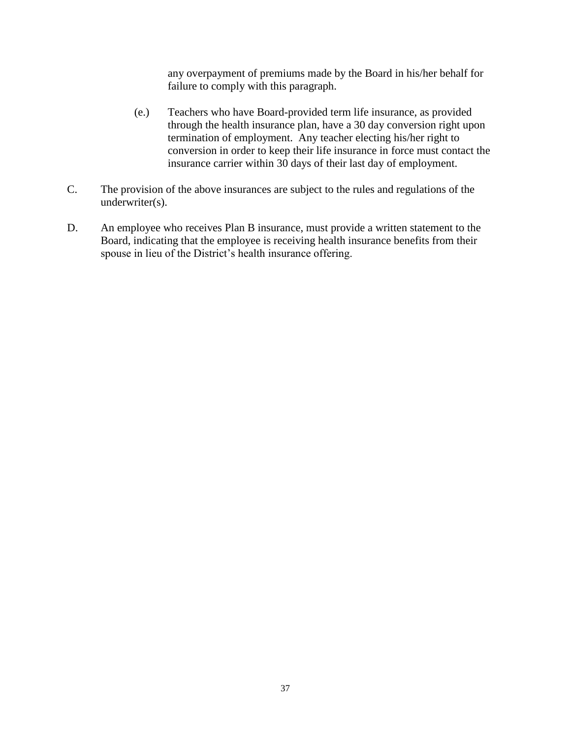any overpayment of premiums made by the Board in his/her behalf for failure to comply with this paragraph.

- (e.) Teachers who have Board-provided term life insurance, as provided through the health insurance plan, have a 30 day conversion right upon termination of employment. Any teacher electing his/her right to conversion in order to keep their life insurance in force must contact the insurance carrier within 30 days of their last day of employment.
- C. The provision of the above insurances are subject to the rules and regulations of the underwriter(s).
- D. An employee who receives Plan B insurance, must provide a written statement to the Board, indicating that the employee is receiving health insurance benefits from their spouse in lieu of the District's health insurance offering.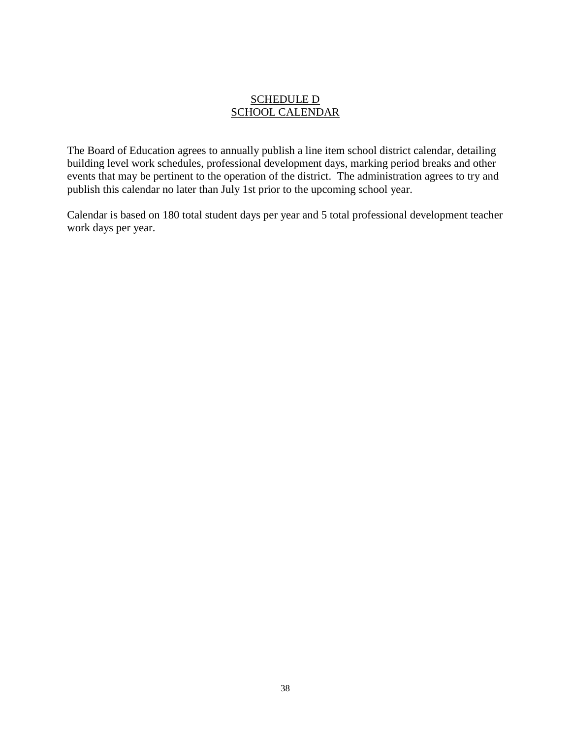#### SCHEDULE D SCHOOL CALENDAR

The Board of Education agrees to annually publish a line item school district calendar, detailing building level work schedules, professional development days, marking period breaks and other events that may be pertinent to the operation of the district. The administration agrees to try and publish this calendar no later than July 1st prior to the upcoming school year.

Calendar is based on 180 total student days per year and 5 total professional development teacher work days per year.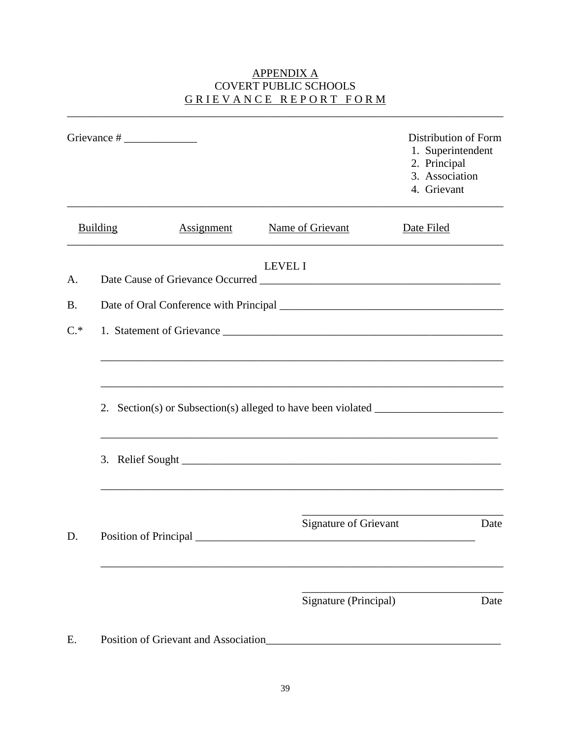# **APPENDIX A** COVERT PUBLIC SCHOOLS GRIEVANCE REPORT FORM

|           |                                                                                   |                              | Distribution of Form<br>1. Superintendent<br>2. Principal<br>3. Association<br>4. Grievant |
|-----------|-----------------------------------------------------------------------------------|------------------------------|--------------------------------------------------------------------------------------------|
|           | Building<br><b>Assignment</b>                                                     | Name of Grievant             | Date Filed                                                                                 |
| A.        |                                                                                   | <b>LEVEL I</b>               |                                                                                            |
| <b>B.</b> |                                                                                   |                              |                                                                                            |
| $C^*$     |                                                                                   |                              |                                                                                            |
|           | 2. Section(s) or Subsection(s) alleged to have been violated ____________________ |                              |                                                                                            |
| D.        |                                                                                   | <b>Signature of Grievant</b> | Date                                                                                       |
|           |                                                                                   | Signature (Principal)        | Date                                                                                       |
| E.        | Position of Grievant and Association                                              |                              |                                                                                            |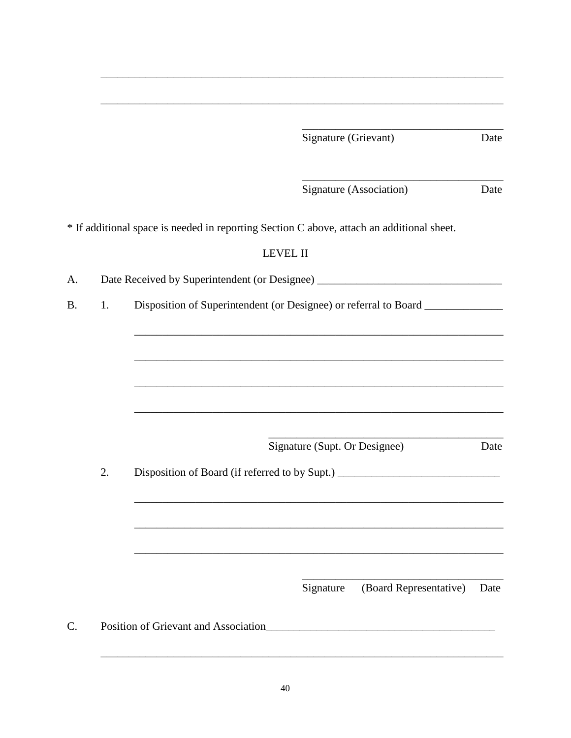|           |    | Signature (Grievant)<br>Date                                                              |  |  |
|-----------|----|-------------------------------------------------------------------------------------------|--|--|
|           |    | Signature (Association)<br>Date                                                           |  |  |
|           |    | * If additional space is needed in reporting Section C above, attach an additional sheet. |  |  |
|           |    | <b>LEVEL II</b>                                                                           |  |  |
| A.        |    | Date Received by Superintendent (or Designee) __________________________________          |  |  |
| <b>B.</b> | 1. | Disposition of Superintendent (or Designee) or referral to Board _______________          |  |  |
|           |    |                                                                                           |  |  |
|           |    |                                                                                           |  |  |
|           |    |                                                                                           |  |  |
|           |    |                                                                                           |  |  |
|           |    |                                                                                           |  |  |
|           |    | Signature (Supt. Or Designee)<br>Date                                                     |  |  |
|           | 2. | Disposition of Board (if referred to by Supt.) __________________________________         |  |  |
|           |    |                                                                                           |  |  |
|           |    |                                                                                           |  |  |
|           |    |                                                                                           |  |  |
|           |    | (Board Representative)<br>Signature<br>Date                                               |  |  |
| C.        |    | Position of Grievant and Association<br><u> 1980 - Jan Barbara Barbara, maskin</u>        |  |  |
|           |    |                                                                                           |  |  |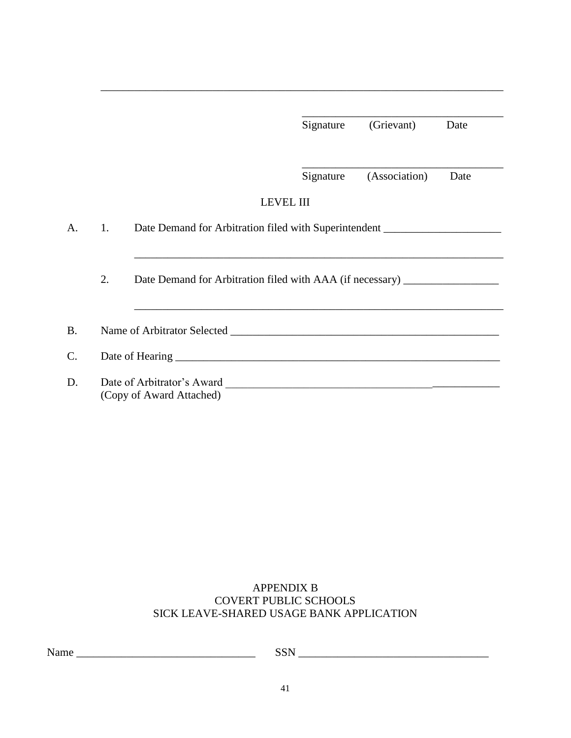|    | Signature                | (Grievant)       | Date                                                                                                                                                                 |
|----|--------------------------|------------------|----------------------------------------------------------------------------------------------------------------------------------------------------------------------|
|    |                          |                  |                                                                                                                                                                      |
|    | Signature                | (Association)    | Date                                                                                                                                                                 |
|    |                          |                  |                                                                                                                                                                      |
| 1. |                          |                  |                                                                                                                                                                      |
|    |                          |                  |                                                                                                                                                                      |
| 2. |                          |                  |                                                                                                                                                                      |
|    |                          |                  |                                                                                                                                                                      |
|    |                          |                  |                                                                                                                                                                      |
|    |                          |                  |                                                                                                                                                                      |
|    | (Copy of Award Attached) | <b>LEVEL III</b> | Date Demand for Arbitration filed with Superintendent __________________________<br>Date Demand for Arbitration filed with AAA (if necessary) ______________________ |

# APPENDIX B COVERT PUBLIC SCHOOLS SICK LEAVE-SHARED USAGE BANK APPLICATION

Name \_\_\_\_\_\_\_\_\_\_\_\_\_\_\_\_\_\_\_\_\_\_\_\_\_\_\_\_\_\_\_\_ SSN \_\_\_\_\_\_\_\_\_\_\_\_\_\_\_\_\_\_\_\_\_\_\_\_\_\_\_\_\_\_\_\_\_\_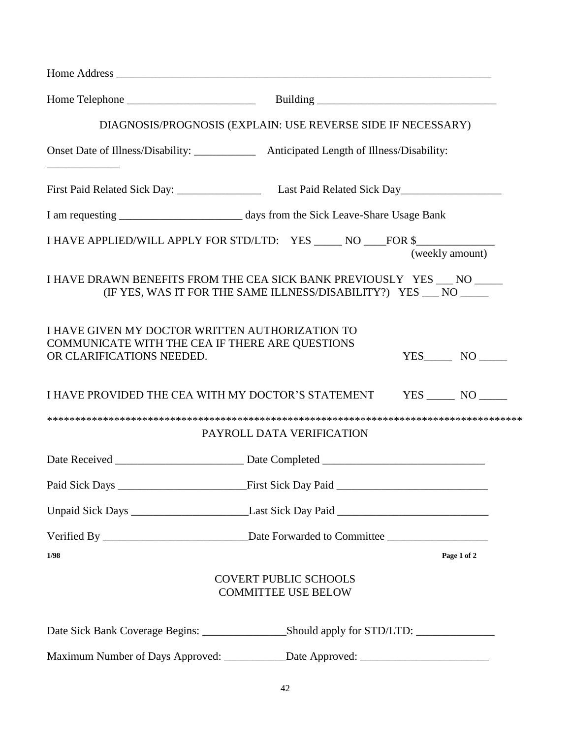|                                                                                                                                 | DIAGNOSIS/PROGNOSIS (EXPLAIN: USE REVERSE SIDE IF NECESSARY)                                                                               |
|---------------------------------------------------------------------------------------------------------------------------------|--------------------------------------------------------------------------------------------------------------------------------------------|
|                                                                                                                                 | Onset Date of Illness/Disability: _______________ Anticipated Length of Illness/Disability:                                                |
|                                                                                                                                 |                                                                                                                                            |
|                                                                                                                                 |                                                                                                                                            |
|                                                                                                                                 | I HAVE APPLIED/WILL APPLY FOR STD/LTD: YES _____ NO ____FOR \$___________________<br>(weekly amount)                                       |
|                                                                                                                                 | I HAVE DRAWN BENEFITS FROM THE CEA SICK BANK PREVIOUSLY YES __ NO ____<br>(IF YES, WAS IT FOR THE SAME ILLNESS/DISABILITY?) YES __ NO ____ |
| I HAVE GIVEN MY DOCTOR WRITTEN AUTHORIZATION TO<br>COMMUNICATE WITH THE CEA IF THERE ARE QUESTIONS<br>OR CLARIFICATIONS NEEDED. | $YES$ NO $\qquad$                                                                                                                          |
|                                                                                                                                 | I HAVE PROVIDED THE CEA WITH MY DOCTOR'S STATEMENT YES _____ NO _____                                                                      |
|                                                                                                                                 | PAYROLL DATA VERIFICATION                                                                                                                  |
|                                                                                                                                 |                                                                                                                                            |
|                                                                                                                                 |                                                                                                                                            |
|                                                                                                                                 |                                                                                                                                            |
|                                                                                                                                 |                                                                                                                                            |
| 1/98                                                                                                                            | Page 1 of 2                                                                                                                                |
|                                                                                                                                 | <b>COVERT PUBLIC SCHOOLS</b><br><b>COMMITTEE USE BELOW</b>                                                                                 |
|                                                                                                                                 |                                                                                                                                            |
|                                                                                                                                 | Maximum Number of Days Approved: ___________Date Approved: _____________________                                                           |